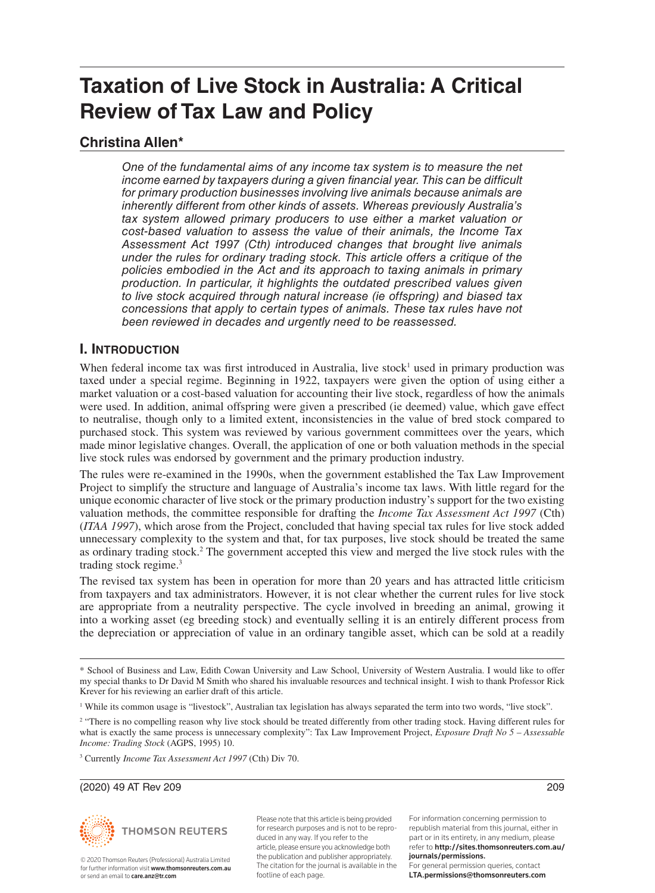# **Taxation of Live Stock in Australia: A Critical Review of Tax Law and Policy**

# **Christina Allen\***

*One of the fundamental aims of any income tax system is to measure the net income earned by taxpayers during a given financial year. This can be difficult for primary production businesses involving live animals because animals are inherently different from other kinds of assets. Whereas previously Australia's tax system allowed primary producers to use either a market valuation or cost-based valuation to assess the value of their animals, the Income Tax Assessment Act 1997 (Cth) introduced changes that brought live animals under the rules for ordinary trading stock. This article offers a critique of the policies embodied in the Act and its approach to taxing animals in primary production. In particular, it highlights the outdated prescribed values given to live stock acquired through natural increase (ie offspring) and biased tax concessions that apply to certain types of animals. These tax rules have not been reviewed in decades and urgently need to be reassessed.*

## **I. INTRODUCTION**

When federal income tax was first introduced in Australia, live stock<sup>1</sup> used in primary production was taxed under a special regime. Beginning in 1922, taxpayers were given the option of using either a market valuation or a cost-based valuation for accounting their live stock, regardless of how the animals were used. In addition, animal offspring were given a prescribed (ie deemed) value, which gave effect to neutralise, though only to a limited extent, inconsistencies in the value of bred stock compared to purchased stock. This system was reviewed by various government committees over the years, which made minor legislative changes. Overall, the application of one or both valuation methods in the special live stock rules was endorsed by government and the primary production industry.

The rules were re-examined in the 1990s, when the government established the Tax Law Improvement Project to simplify the structure and language of Australia's income tax laws. With little regard for the unique economic character of live stock or the primary production industry's support for the two existing valuation methods, the committee responsible for drafting the *Income Tax Assessment Act 1997* (Cth) (*ITAA 1997*), which arose from the Project, concluded that having special tax rules for live stock added unnecessary complexity to the system and that, for tax purposes, live stock should be treated the same as ordinary trading stock.2 The government accepted this view and merged the live stock rules with the trading stock regime.<sup>3</sup>

The revised tax system has been in operation for more than 20 years and has attracted little criticism from taxpayers and tax administrators. However, it is not clear whether the current rules for live stock are appropriate from a neutrality perspective. The cycle involved in breeding an animal, growing it into a working asset (eg breeding stock) and eventually selling it is an entirely different process from the depreciation or appreciation of value in an ordinary tangible asset, which can be sold at a readily

(2020) 49 AT Rev 209 209



© 2020 Thomson Reuters (Professional) Australia Limited for further information visit www.thomsonreuters.com.au. or send an email to care.anz@tr.com

Please note that this article is being provided for research purposes and is not to be reproduced in any way. If you refer to the article, please ensure you acknowledge both the publication and publisher appropriately. The citation for the journal is available in the footline of each page.

For information concerning permission to republish material from this journal, either in part or in its entirety, in any medium, please refer to http://sites.thomsonreuters.com.au/ journals/permissions. For general permission queries, contact LTA.permissions@thomsonreuters.com



<sup>\*</sup> School of Business and Law, Edith Cowan University and Law School, University of Western Australia. I would like to offer my special thanks to Dr David M Smith who shared his invaluable resources and technical insight. I wish to thank Professor Rick Krever for his reviewing an earlier draft of this article.

<sup>1</sup> While its common usage is "livestock", Australian tax legislation has always separated the term into two words, "live stock".

<sup>&</sup>lt;sup>2</sup> "There is no compelling reason why live stock should be treated differently from other trading stock. Having different rules for what is exactly the same process is unnecessary complexity": Tax Law Improvement Project, *Exposure Draft No 5 – Assessable Income: Trading Stock* (AGPS, 1995) 10.

<sup>3</sup> Currently *Income Tax Assessment Act 1997* (Cth) Div 70.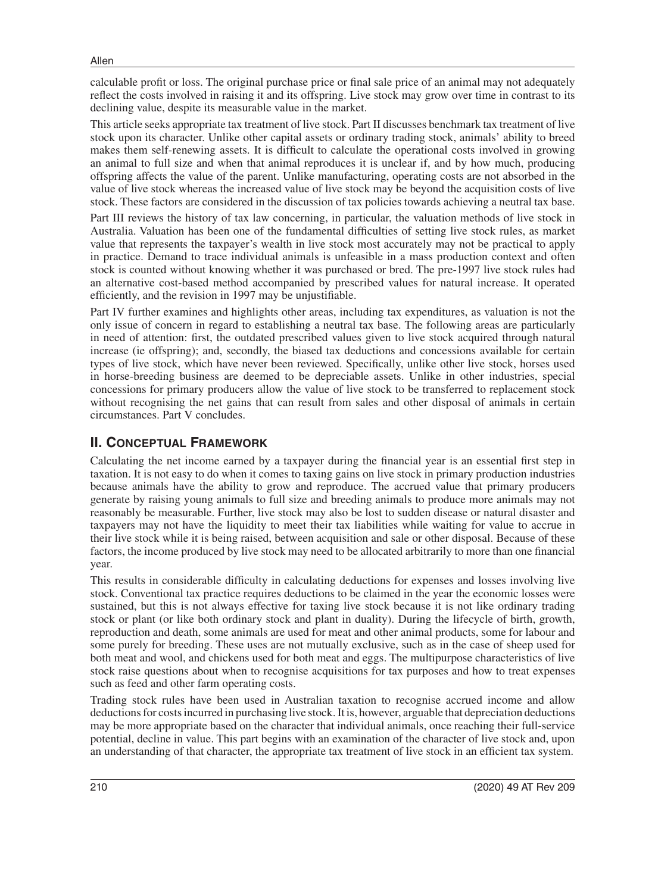calculable profit or loss. The original purchase price or final sale price of an animal may not adequately reflect the costs involved in raising it and its offspring. Live stock may grow over time in contrast to its declining value, despite its measurable value in the market.

This article seeks appropriate tax treatment of live stock. Part II discusses benchmark tax treatment of live stock upon its character. Unlike other capital assets or ordinary trading stock, animals' ability to breed makes them self-renewing assets. It is difficult to calculate the operational costs involved in growing an animal to full size and when that animal reproduces it is unclear if, and by how much, producing offspring affects the value of the parent. Unlike manufacturing, operating costs are not absorbed in the value of live stock whereas the increased value of live stock may be beyond the acquisition costs of live stock. These factors are considered in the discussion of tax policies towards achieving a neutral tax base.

Part III reviews the history of tax law concerning, in particular, the valuation methods of live stock in Australia. Valuation has been one of the fundamental difficulties of setting live stock rules, as market value that represents the taxpayer's wealth in live stock most accurately may not be practical to apply in practice. Demand to trace individual animals is unfeasible in a mass production context and often stock is counted without knowing whether it was purchased or bred. The pre-1997 live stock rules had an alternative cost-based method accompanied by prescribed values for natural increase. It operated efficiently, and the revision in 1997 may be unjustifiable.

Part IV further examines and highlights other areas, including tax expenditures, as valuation is not the only issue of concern in regard to establishing a neutral tax base. The following areas are particularly in need of attention: first, the outdated prescribed values given to live stock acquired through natural increase (ie offspring); and, secondly, the biased tax deductions and concessions available for certain types of live stock, which have never been reviewed. Specifically, unlike other live stock, horses used in horse-breeding business are deemed to be depreciable assets. Unlike in other industries, special concessions for primary producers allow the value of live stock to be transferred to replacement stock without recognising the net gains that can result from sales and other disposal of animals in certain circumstances. Part V concludes.

## **II. CONCEPTUAL FRAMEWORK**

Calculating the net income earned by a taxpayer during the financial year is an essential first step in taxation. It is not easy to do when it comes to taxing gains on live stock in primary production industries because animals have the ability to grow and reproduce. The accrued value that primary producers generate by raising young animals to full size and breeding animals to produce more animals may not reasonably be measurable. Further, live stock may also be lost to sudden disease or natural disaster and taxpayers may not have the liquidity to meet their tax liabilities while waiting for value to accrue in their live stock while it is being raised, between acquisition and sale or other disposal. Because of these factors, the income produced by live stock may need to be allocated arbitrarily to more than one financial year.

This results in considerable difficulty in calculating deductions for expenses and losses involving live stock. Conventional tax practice requires deductions to be claimed in the year the economic losses were sustained, but this is not always effective for taxing live stock because it is not like ordinary trading stock or plant (or like both ordinary stock and plant in duality). During the lifecycle of birth, growth, reproduction and death, some animals are used for meat and other animal products, some for labour and some purely for breeding. These uses are not mutually exclusive, such as in the case of sheep used for both meat and wool, and chickens used for both meat and eggs. The multipurpose characteristics of live stock raise questions about when to recognise acquisitions for tax purposes and how to treat expenses such as feed and other farm operating costs.

Trading stock rules have been used in Australian taxation to recognise accrued income and allow deductions for costs incurred in purchasing live stock. It is, however, arguable that depreciation deductions may be more appropriate based on the character that individual animals, once reaching their full-service potential, decline in value. This part begins with an examination of the character of live stock and, upon an understanding of that character, the appropriate tax treatment of live stock in an efficient tax system.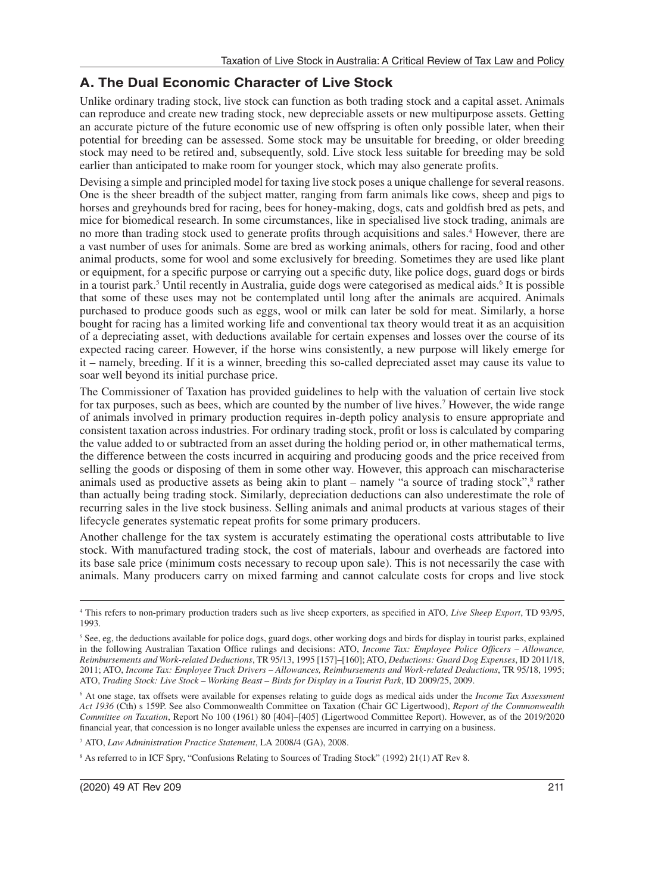# **A. The Dual Economic Character of Live Stock**

Unlike ordinary trading stock, live stock can function as both trading stock and a capital asset. Animals can reproduce and create new trading stock, new depreciable assets or new multipurpose assets. Getting an accurate picture of the future economic use of new offspring is often only possible later, when their potential for breeding can be assessed. Some stock may be unsuitable for breeding, or older breeding stock may need to be retired and, subsequently, sold. Live stock less suitable for breeding may be sold earlier than anticipated to make room for younger stock, which may also generate profits.

Devising a simple and principled model for taxing live stock poses a unique challenge for several reasons. One is the sheer breadth of the subject matter, ranging from farm animals like cows, sheep and pigs to horses and greyhounds bred for racing, bees for honey-making, dogs, cats and goldfish bred as pets, and mice for biomedical research. In some circumstances, like in specialised live stock trading, animals are no more than trading stock used to generate profits through acquisitions and sales.<sup>4</sup> However, there are a vast number of uses for animals. Some are bred as working animals, others for racing, food and other animal products, some for wool and some exclusively for breeding. Sometimes they are used like plant or equipment, for a specific purpose or carrying out a specific duty, like police dogs, guard dogs or birds in a tourist park.<sup>5</sup> Until recently in Australia, guide dogs were categorised as medical aids.<sup>6</sup> It is possible that some of these uses may not be contemplated until long after the animals are acquired. Animals purchased to produce goods such as eggs, wool or milk can later be sold for meat. Similarly, a horse bought for racing has a limited working life and conventional tax theory would treat it as an acquisition of a depreciating asset, with deductions available for certain expenses and losses over the course of its expected racing career. However, if the horse wins consistently, a new purpose will likely emerge for it – namely, breeding. If it is a winner, breeding this so-called depreciated asset may cause its value to soar well beyond its initial purchase price.

The Commissioner of Taxation has provided guidelines to help with the valuation of certain live stock for tax purposes, such as bees, which are counted by the number of live hives.<sup>7</sup> However, the wide range of animals involved in primary production requires in-depth policy analysis to ensure appropriate and consistent taxation across industries. For ordinary trading stock, profit or loss is calculated by comparing the value added to or subtracted from an asset during the holding period or, in other mathematical terms, the difference between the costs incurred in acquiring and producing goods and the price received from selling the goods or disposing of them in some other way. However, this approach can mischaracterise animals used as productive assets as being akin to plant  $-$  namely "a source of trading stock", $\frac{8}{3}$  rather than actually being trading stock. Similarly, depreciation deductions can also underestimate the role of recurring sales in the live stock business. Selling animals and animal products at various stages of their lifecycle generates systematic repeat profits for some primary producers.

Another challenge for the tax system is accurately estimating the operational costs attributable to live stock. With manufactured trading stock, the cost of materials, labour and overheads are factored into its base sale price (minimum costs necessary to recoup upon sale). This is not necessarily the case with animals. Many producers carry on mixed farming and cannot calculate costs for crops and live stock

7 ATO, *Law Administration Practice Statement*, LA 2008/4 (GA), 2008.

8 As referred to in ICF Spry, "Confusions Relating to Sources of Trading Stock" (1992) 21(1) AT Rev 8.

<sup>4</sup> This refers to non-primary production traders such as live sheep exporters, as specified in ATO, *Live Sheep Export*, TD 93/95, 1993.

<sup>&</sup>lt;sup>5</sup> See, eg, the deductions available for police dogs, guard dogs, other working dogs and birds for display in tourist parks, explained in the following Australian Taxation Office rulings and decisions: ATO, *Income Tax: Employee Police Officers – Allowance, Reimbursements and Work-related Deductions*, TR 95/13, 1995 [157]–[160]; ATO, *Deductions: Guard Dog Expenses*, ID 2011/18, 2011; ATO, *Income Tax: Employee Truck Drivers – Allowances, Reimbursements and Work-related Deductions*, TR 95/18, 1995; ATO, *Trading Stock: Live Stock – Working Beast – Birds for Display in a Tourist Park*, ID 2009/25, 2009.

<sup>6</sup> At one stage, tax offsets were available for expenses relating to guide dogs as medical aids under the *Income Tax Assessment Act 1936* (Cth) s 159P. See also Commonwealth Committee on Taxation (Chair GC Ligertwood), *Report of the Commonwealth Committee on Taxation*, Report No 100 (1961) 80 [404]–[405] (Ligertwood Committee Report). However, as of the 2019/2020 financial year, that concession is no longer available unless the expenses are incurred in carrying on a business.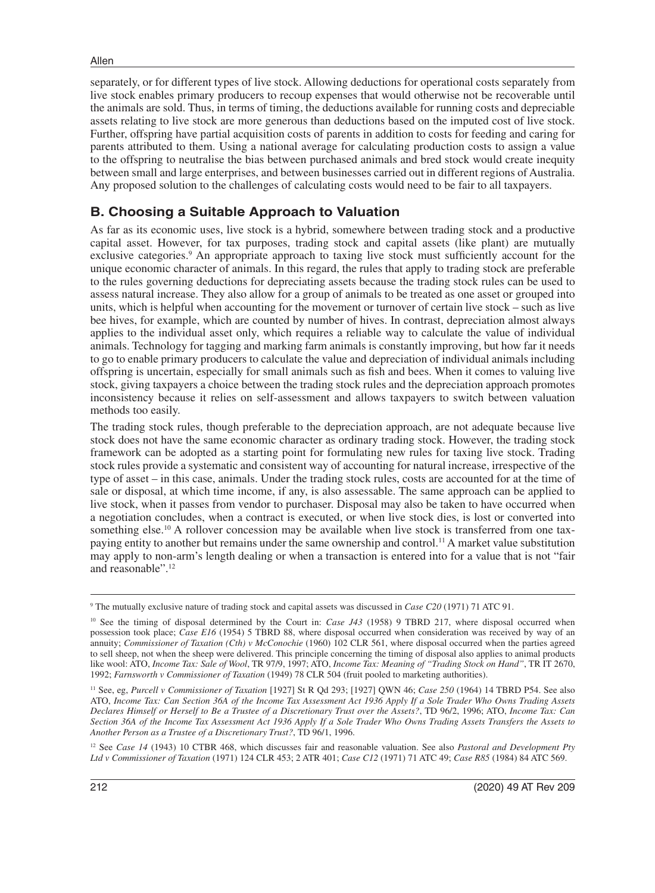separately, or for different types of live stock. Allowing deductions for operational costs separately from live stock enables primary producers to recoup expenses that would otherwise not be recoverable until the animals are sold. Thus, in terms of timing, the deductions available for running costs and depreciable assets relating to live stock are more generous than deductions based on the imputed cost of live stock. Further, offspring have partial acquisition costs of parents in addition to costs for feeding and caring for parents attributed to them. Using a national average for calculating production costs to assign a value to the offspring to neutralise the bias between purchased animals and bred stock would create inequity between small and large enterprises, and between businesses carried out in different regions of Australia. Any proposed solution to the challenges of calculating costs would need to be fair to all taxpayers.

### **B. Choosing a Suitable Approach to Valuation**

As far as its economic uses, live stock is a hybrid, somewhere between trading stock and a productive capital asset. However, for tax purposes, trading stock and capital assets (like plant) are mutually exclusive categories.<sup>9</sup> An appropriate approach to taxing live stock must sufficiently account for the unique economic character of animals. In this regard, the rules that apply to trading stock are preferable to the rules governing deductions for depreciating assets because the trading stock rules can be used to assess natural increase. They also allow for a group of animals to be treated as one asset or grouped into units, which is helpful when accounting for the movement or turnover of certain live stock – such as live bee hives, for example, which are counted by number of hives. In contrast, depreciation almost always applies to the individual asset only, which requires a reliable way to calculate the value of individual animals. Technology for tagging and marking farm animals is constantly improving, but how far it needs to go to enable primary producers to calculate the value and depreciation of individual animals including offspring is uncertain, especially for small animals such as fish and bees. When it comes to valuing live stock, giving taxpayers a choice between the trading stock rules and the depreciation approach promotes inconsistency because it relies on self-assessment and allows taxpayers to switch between valuation methods too easily.

The trading stock rules, though preferable to the depreciation approach, are not adequate because live stock does not have the same economic character as ordinary trading stock. However, the trading stock framework can be adopted as a starting point for formulating new rules for taxing live stock. Trading stock rules provide a systematic and consistent way of accounting for natural increase, irrespective of the type of asset – in this case, animals. Under the trading stock rules, costs are accounted for at the time of sale or disposal, at which time income, if any, is also assessable. The same approach can be applied to live stock, when it passes from vendor to purchaser. Disposal may also be taken to have occurred when a negotiation concludes, when a contract is executed, or when live stock dies, is lost or converted into something else.<sup>10</sup> A rollover concession may be available when live stock is transferred from one taxpaying entity to another but remains under the same ownership and control.11 A market value substitution may apply to non-arm's length dealing or when a transaction is entered into for a value that is not "fair and reasonable".12

12 See *Case 14* (1943) 10 CTBR 468, which discusses fair and reasonable valuation. See also *Pastoral and Development Pty Ltd v Commissioner of Taxation* (1971) 124 CLR 453; 2 ATR 401; *Case C12* (1971) 71 ATC 49; *Case R85* (1984) 84 ATC 569.

<sup>9</sup> The mutually exclusive nature of trading stock and capital assets was discussed in *Case C20* (1971) 71 ATC 91.

<sup>&</sup>lt;sup>10</sup> See the timing of disposal determined by the Court in: *Case J43* (1958) 9 TBRD 217, where disposal occurred when possession took place; *Case E16* (1954) 5 TBRD 88, where disposal occurred when consideration was received by way of an annuity; *Commissioner of Taxation (Cth) v McConochie* (1960) 102 CLR 561, where disposal occurred when the parties agreed to sell sheep, not when the sheep were delivered. This principle concerning the timing of disposal also applies to animal products like wool: ATO, *Income Tax: Sale of Wool*, TR 97/9, 1997; ATO, *Income Tax: Meaning of "Trading Stock on Hand"*, TR IT 2670, 1992; *Farnsworth v Commissioner of Taxation* (1949) 78 CLR 504 (fruit pooled to marketing authorities).

<sup>11</sup> See, eg, *Purcell v Commissioner of Taxation* [1927] St R Qd 293; [1927] QWN 46; *Case 250* (1964) 14 TBRD P54. See also ATO, *Income Tax: Can Section 36A of the Income Tax Assessment Act 1936 Apply If a Sole Trader Who Owns Trading Assets Declares Himself or Herself to Be a Trustee of a Discretionary Trust over the Assets?*, TD 96/2, 1996; ATO, *Income Tax: Can Section 36A of the Income Tax Assessment Act 1936 Apply If a Sole Trader Who Owns Trading Assets Transfers the Assets to Another Person as a Trustee of a Discretionary Trust?*, TD 96/1, 1996.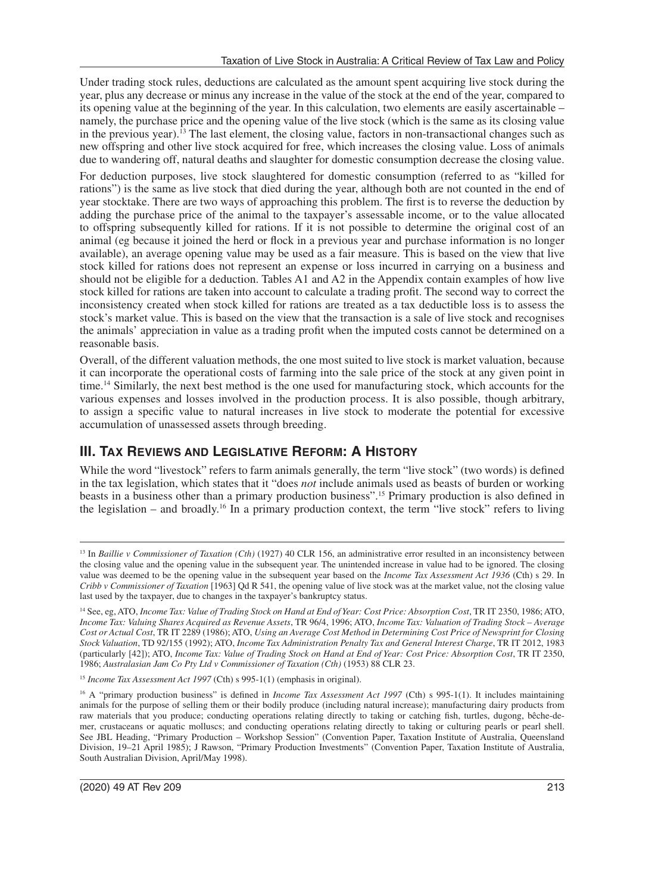Under trading stock rules, deductions are calculated as the amount spent acquiring live stock during the year, plus any decrease or minus any increase in the value of the stock at the end of the year, compared to its opening value at the beginning of the year. In this calculation, two elements are easily ascertainable – namely, the purchase price and the opening value of the live stock (which is the same as its closing value in the previous year).<sup>13</sup> The last element, the closing value, factors in non-transactional changes such as new offspring and other live stock acquired for free, which increases the closing value. Loss of animals due to wandering off, natural deaths and slaughter for domestic consumption decrease the closing value.

For deduction purposes, live stock slaughtered for domestic consumption (referred to as "killed for rations") is the same as live stock that died during the year, although both are not counted in the end of year stocktake. There are two ways of approaching this problem. The first is to reverse the deduction by adding the purchase price of the animal to the taxpayer's assessable income, or to the value allocated to offspring subsequently killed for rations. If it is not possible to determine the original cost of an animal (eg because it joined the herd or flock in a previous year and purchase information is no longer available), an average opening value may be used as a fair measure. This is based on the view that live stock killed for rations does not represent an expense or loss incurred in carrying on a business and should not be eligible for a deduction. Tables A1 and A2 in the Appendix contain examples of how live stock killed for rations are taken into account to calculate a trading profit. The second way to correct the inconsistency created when stock killed for rations are treated as a tax deductible loss is to assess the stock's market value. This is based on the view that the transaction is a sale of live stock and recognises the animals' appreciation in value as a trading profit when the imputed costs cannot be determined on a reasonable basis.

Overall, of the different valuation methods, the one most suited to live stock is market valuation, because it can incorporate the operational costs of farming into the sale price of the stock at any given point in time.14 Similarly, the next best method is the one used for manufacturing stock, which accounts for the various expenses and losses involved in the production process. It is also possible, though arbitrary, to assign a specific value to natural increases in live stock to moderate the potential for excessive accumulation of unassessed assets through breeding.

## **III. TAX REVIEWS AND LEGISLATIVE REFORM: A HISTORY**

While the word "livestock" refers to farm animals generally, the term "live stock" (two words) is defined in the tax legislation, which states that it "does *not* include animals used as beasts of burden or working beasts in a business other than a primary production business".15 Primary production is also defined in the legislation – and broadly.<sup>16</sup> In a primary production context, the term "live stock" refers to living

<sup>&</sup>lt;sup>13</sup> In *Baillie v Commissioner of Taxation (Cth)* (1927) 40 CLR 156, an administrative error resulted in an inconsistency between the closing value and the opening value in the subsequent year. The unintended increase in value had to be ignored. The closing value was deemed to be the opening value in the subsequent year based on the *Income Tax Assessment Act 1936* (Cth) s 29. In *Cribb v Commissioner of Taxation* [1963] Qd R 541, the opening value of live stock was at the market value, not the closing value last used by the taxpayer, due to changes in the taxpayer's bankruptcy status.

<sup>14</sup> See, eg, ATO, *Income Tax: Value of Trading Stock on Hand at End of Year: Cost Price: Absorption Cost*, TR IT 2350, 1986; ATO, *Income Tax: Valuing Shares Acquired as Revenue Assets*, TR 96/4, 1996; ATO, *Income Tax: Valuation of Trading Stock – Average Cost or Actual Cost*, TR IT 2289 (1986); ATO, *Using an Average Cost Method in Determining Cost Price of Newsprint for Closing Stock Valuation*, TD 92/155 (1992); ATO, *Income Tax Administration Penalty Tax and General Interest Charge*, TR IT 2012, 1983 (particularly [42]); ATO, *Income Tax: Value of Trading Stock on Hand at End of Year: Cost Price: Absorption Cost*, TR IT 2350, 1986; *Australasian Jam Co Pty Ltd v Commissioner of Taxation (Cth)* (1953) 88 CLR 23.

<sup>&</sup>lt;sup>15</sup> Income Tax Assessment Act 1997 (Cth) s 995-1(1) (emphasis in original).

<sup>&</sup>lt;sup>16</sup> A "primary production business" is defined in *Income Tax Assessment Act 1997* (Cth) s 995-1(1). It includes maintaining animals for the purpose of selling them or their bodily produce (including natural increase); manufacturing dairy products from raw materials that you produce; conducting operations relating directly to taking or catching fish, turtles, dugong, bêche-demer, crustaceans or aquatic molluscs; and conducting operations relating directly to taking or culturing pearls or pearl shell. See JBL Heading, "Primary Production – Workshop Session" (Convention Paper, Taxation Institute of Australia, Queensland Division, 19–21 April 1985); J Rawson, "Primary Production Investments" (Convention Paper, Taxation Institute of Australia, South Australian Division, April/May 1998).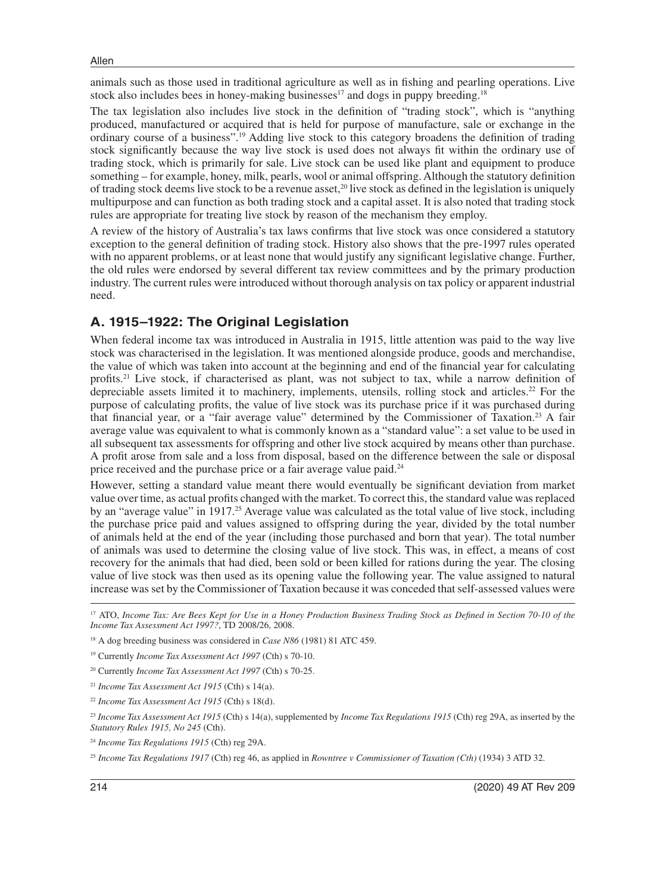animals such as those used in traditional agriculture as well as in fishing and pearling operations. Live stock also includes bees in honey-making businesses<sup>17</sup> and dogs in puppy breeding.<sup>18</sup>

The tax legislation also includes live stock in the definition of "trading stock", which is "anything produced, manufactured or acquired that is held for purpose of manufacture, sale or exchange in the ordinary course of a business".19 Adding live stock to this category broadens the definition of trading stock significantly because the way live stock is used does not always fit within the ordinary use of trading stock, which is primarily for sale. Live stock can be used like plant and equipment to produce something – for example, honey, milk, pearls, wool or animal offspring. Although the statutory definition of trading stock deems live stock to be a revenue asset,<sup>20</sup> live stock as defined in the legislation is uniquely multipurpose and can function as both trading stock and a capital asset. It is also noted that trading stock rules are appropriate for treating live stock by reason of the mechanism they employ.

A review of the history of Australia's tax laws confirms that live stock was once considered a statutory exception to the general definition of trading stock. History also shows that the pre-1997 rules operated with no apparent problems, or at least none that would justify any significant legislative change. Further, the old rules were endorsed by several different tax review committees and by the primary production industry. The current rules were introduced without thorough analysis on tax policy or apparent industrial need.

#### **A. 1915–1922: The Original Legislation**

When federal income tax was introduced in Australia in 1915, little attention was paid to the way live stock was characterised in the legislation. It was mentioned alongside produce, goods and merchandise, the value of which was taken into account at the beginning and end of the financial year for calculating profits.21 Live stock, if characterised as plant, was not subject to tax, while a narrow definition of depreciable assets limited it to machinery, implements, utensils, rolling stock and articles.22 For the purpose of calculating profits, the value of live stock was its purchase price if it was purchased during that financial year, or a "fair average value" determined by the Commissioner of Taxation.<sup>23</sup> A fair average value was equivalent to what is commonly known as a "standard value": a set value to be used in all subsequent tax assessments for offspring and other live stock acquired by means other than purchase. A profit arose from sale and a loss from disposal, based on the difference between the sale or disposal price received and the purchase price or a fair average value paid.<sup>24</sup>

However, setting a standard value meant there would eventually be significant deviation from market value over time, as actual profits changed with the market. To correct this, the standard value was replaced by an "average value" in 1917.<sup>25</sup> Average value was calculated as the total value of live stock, including the purchase price paid and values assigned to offspring during the year, divided by the total number of animals held at the end of the year (including those purchased and born that year). The total number of animals was used to determine the closing value of live stock. This was, in effect, a means of cost recovery for the animals that had died, been sold or been killed for rations during the year. The closing value of live stock was then used as its opening value the following year. The value assigned to natural increase was set by the Commissioner of Taxation because it was conceded that self-assessed values were

<sup>&</sup>lt;sup>17</sup> ATO, *Income Tax: Are Bees Kept for Use in a Honey Production Business Trading Stock as Defined in Section 70-10 of the Income Tax Assessment Act 1997?*, TD 2008/26, 2008.

<sup>18</sup> A dog breeding business was considered in *Case N86* (1981) 81 ATC 459.

<sup>19</sup> Currently *Income Tax Assessment Act 1997* (Cth) s 70-10.

<sup>20</sup> Currently *Income Tax Assessment Act 1997* (Cth) s 70-25.

<sup>21</sup> *Income Tax Assessment Act 1915* (Cth) s 14(a).

<sup>22</sup> *Income Tax Assessment Act 1915* (Cth) s 18(d).

<sup>23</sup> *Income Tax Assessment Act 1915* (Cth) s 14(a), supplemented by *Income Tax Regulations 1915* (Cth) reg 29A, as inserted by the *Statutory Rules 1915, No 245* (Cth).

<sup>24</sup> *Income Tax Regulations 1915* (Cth) reg 29A.

<sup>25</sup> *Income Tax Regulations 1917* (Cth) reg 46, as applied in *Rowntree v Commissioner of Taxation (Cth)* (1934) 3 ATD 32.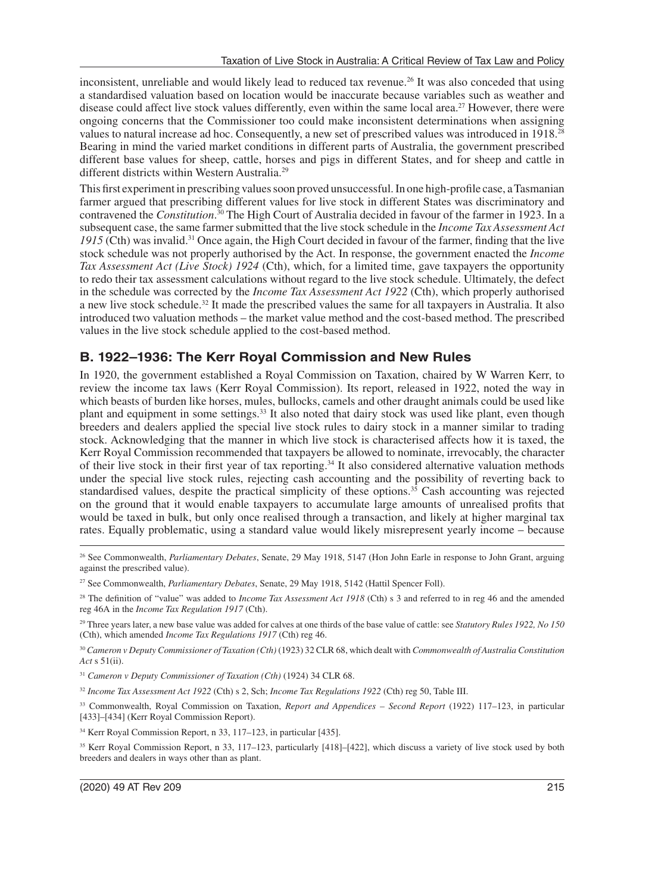inconsistent, unreliable and would likely lead to reduced tax revenue.26 It was also conceded that using a standardised valuation based on location would be inaccurate because variables such as weather and disease could affect live stock values differently, even within the same local area.27 However, there were ongoing concerns that the Commissioner too could make inconsistent determinations when assigning values to natural increase ad hoc. Consequently, a new set of prescribed values was introduced in 1918.<sup>28</sup> Bearing in mind the varied market conditions in different parts of Australia, the government prescribed different base values for sheep, cattle, horses and pigs in different States, and for sheep and cattle in different districts within Western Australia.29

This first experiment in prescribing values soon proved unsuccessful. In one high-profile case, a Tasmanian farmer argued that prescribing different values for live stock in different States was discriminatory and contravened the *Constitution*. 30 The High Court of Australia decided in favour of the farmer in 1923. In a subsequent case, the same farmer submitted that the live stock schedule in the *Income Tax Assessment Act 1915* (Cth) was invalid.31 Once again, the High Court decided in favour of the farmer, finding that the live stock schedule was not properly authorised by the Act. In response, the government enacted the *Income Tax Assessment Act (Live Stock) 1924* (Cth), which, for a limited time, gave taxpayers the opportunity to redo their tax assessment calculations without regard to the live stock schedule. Ultimately, the defect in the schedule was corrected by the *Income Tax Assessment Act 1922* (Cth), which properly authorised a new live stock schedule.32 It made the prescribed values the same for all taxpayers in Australia. It also introduced two valuation methods – the market value method and the cost-based method. The prescribed values in the live stock schedule applied to the cost-based method.

# **B. 1922–1936: The Kerr Royal Commission and New Rules**

In 1920, the government established a Royal Commission on Taxation, chaired by W Warren Kerr, to review the income tax laws (Kerr Royal Commission). Its report, released in 1922, noted the way in which beasts of burden like horses, mules, bullocks, camels and other draught animals could be used like plant and equipment in some settings.33 It also noted that dairy stock was used like plant, even though breeders and dealers applied the special live stock rules to dairy stock in a manner similar to trading stock. Acknowledging that the manner in which live stock is characterised affects how it is taxed, the Kerr Royal Commission recommended that taxpayers be allowed to nominate, irrevocably, the character of their live stock in their first year of tax reporting.34 It also considered alternative valuation methods under the special live stock rules, rejecting cash accounting and the possibility of reverting back to standardised values, despite the practical simplicity of these options.35 Cash accounting was rejected on the ground that it would enable taxpayers to accumulate large amounts of unrealised profits that would be taxed in bulk, but only once realised through a transaction, and likely at higher marginal tax rates. Equally problematic, using a standard value would likely misrepresent yearly income – because

<sup>26</sup> See Commonwealth, *Parliamentary Debates*, Senate, 29 May 1918, 5147 (Hon John Earle in response to John Grant, arguing against the prescribed value).

<sup>27</sup> See Commonwealth, *Parliamentary Debates*, Senate, 29 May 1918, 5142 (Hattil Spencer Foll).

<sup>&</sup>lt;sup>28</sup> The definition of "value" was added to *Income Tax Assessment Act 1918* (Cth) s 3 and referred to in reg 46 and the amended reg 46A in the *Income Tax Regulation 1917* (Cth).

<sup>29</sup> Three years later, a new base value was added for calves at one thirds of the base value of cattle: see *Statutory Rules 1922, No 150* (Cth), which amended *Income Tax Regulations 1917* (Cth) reg 46.

<sup>30</sup> *Cameron v Deputy Commissioner of Taxation (Cth)* (1923) 32 CLR 68, which dealt with *Commonwealth of Australia Constitution Act* s 51(ii).

<sup>31</sup> *Cameron v Deputy Commissioner of Taxation (Cth)* (1924) 34 CLR 68.

<sup>32</sup> *Income Tax Assessment Act 1922* (Cth) s 2, Sch; *Income Tax Regulations 1922* (Cth) reg 50, Table III.

<sup>33</sup> Commonwealth, Royal Commission on Taxation, *Report and Appendices – Second Report* (1922) 117–123, in particular [433]–[434] (Kerr Royal Commission Report).

<sup>34</sup> Kerr Royal Commission Report, n 33, 117–123, in particular [435].

<sup>35</sup> Kerr Royal Commission Report, n 33, 117–123, particularly [418]–[422], which discuss a variety of live stock used by both breeders and dealers in ways other than as plant.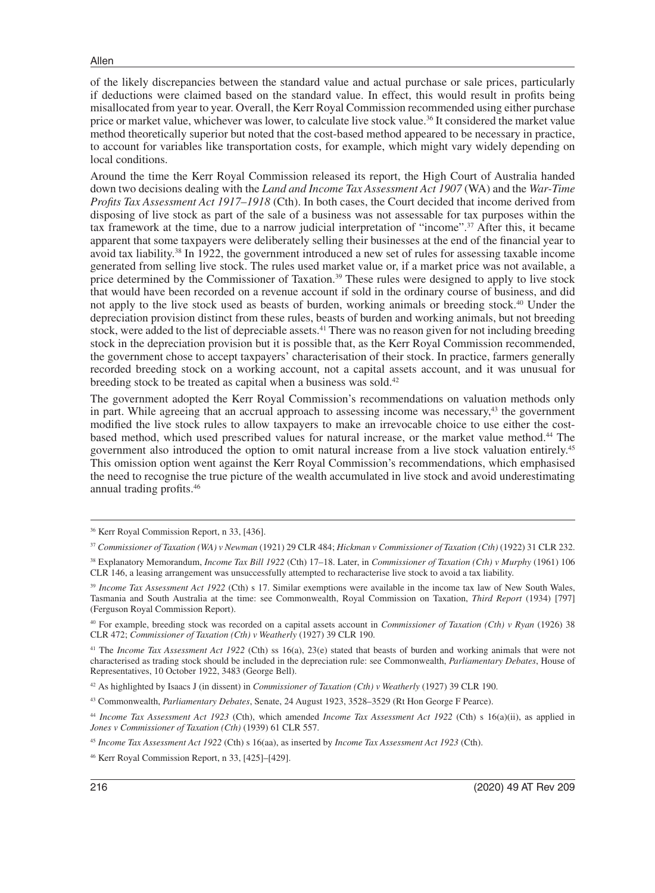Allen

of the likely discrepancies between the standard value and actual purchase or sale prices, particularly if deductions were claimed based on the standard value. In effect, this would result in profits being misallocated from year to year. Overall, the Kerr Royal Commission recommended using either purchase price or market value, whichever was lower, to calculate live stock value.<sup>36</sup> It considered the market value method theoretically superior but noted that the cost-based method appeared to be necessary in practice, to account for variables like transportation costs, for example, which might vary widely depending on local conditions.

Around the time the Kerr Royal Commission released its report, the High Court of Australia handed down two decisions dealing with the *Land and Income Tax Assessment Act 1907* (WA) and the *War-Time Profits Tax Assessment Act 1917–1918* (Cth). In both cases, the Court decided that income derived from disposing of live stock as part of the sale of a business was not assessable for tax purposes within the tax framework at the time, due to a narrow judicial interpretation of "income".37 After this, it became apparent that some taxpayers were deliberately selling their businesses at the end of the financial year to avoid tax liability.38 In 1922, the government introduced a new set of rules for assessing taxable income generated from selling live stock. The rules used market value or, if a market price was not available, a price determined by the Commissioner of Taxation.39 These rules were designed to apply to live stock that would have been recorded on a revenue account if sold in the ordinary course of business, and did not apply to the live stock used as beasts of burden, working animals or breeding stock.40 Under the depreciation provision distinct from these rules, beasts of burden and working animals, but not breeding stock, were added to the list of depreciable assets.<sup>41</sup> There was no reason given for not including breeding stock in the depreciation provision but it is possible that, as the Kerr Royal Commission recommended, the government chose to accept taxpayers' characterisation of their stock. In practice, farmers generally recorded breeding stock on a working account, not a capital assets account, and it was unusual for breeding stock to be treated as capital when a business was sold.<sup>42</sup>

The government adopted the Kerr Royal Commission's recommendations on valuation methods only in part. While agreeing that an accrual approach to assessing income was necessary,<sup>43</sup> the government modified the live stock rules to allow taxpayers to make an irrevocable choice to use either the costbased method, which used prescribed values for natural increase, or the market value method.44 The government also introduced the option to omit natural increase from a live stock valuation entirely.45 This omission option went against the Kerr Royal Commission's recommendations, which emphasised the need to recognise the true picture of the wealth accumulated in live stock and avoid underestimating annual trading profits.46

<sup>41</sup> The *Income Tax Assessment Act 1922* (Cth) ss 16(a), 23(e) stated that beasts of burden and working animals that were not characterised as trading stock should be included in the depreciation rule: see Commonwealth, *Parliamentary Debates*, House of Representatives, 10 October 1922, 3483 (George Bell).

42 As highlighted by Isaacs J (in dissent) in *Commissioner of Taxation (Cth) v Weatherly* (1927) 39 CLR 190.

43 Commonwealth, *Parliamentary Debates*, Senate, 24 August 1923, 3528–3529 (Rt Hon George F Pearce).

<sup>44</sup> *Income Tax Assessment Act 1923* (Cth), which amended *Income Tax Assessment Act 1922* (Cth) s 16(a)(ii), as applied in *Jones v Commissioner of Taxation (Cth)* (1939) 61 CLR 557.

<sup>36</sup> Kerr Royal Commission Report, n 33, [436].

<sup>37</sup> *Commissioner of Taxation (WA) v Newman* (1921) 29 CLR 484; *Hickman v Commissioner of Taxation (Cth)* (1922) 31 CLR 232.

<sup>38</sup> Explanatory Memorandum, *Income Tax Bill 1922* (Cth) 17–18. Later, in *Commissioner of Taxation (Cth) v Murphy* (1961) 106 CLR 146, a leasing arrangement was unsuccessfully attempted to recharacterise live stock to avoid a tax liability.

<sup>39</sup> *Income Tax Assessment Act 1922* (Cth) s 17. Similar exemptions were available in the income tax law of New South Wales, Tasmania and South Australia at the time: see Commonwealth, Royal Commission on Taxation, *Third Report* (1934) [797] (Ferguson Royal Commission Report).

<sup>40</sup> For example, breeding stock was recorded on a capital assets account in *Commissioner of Taxation (Cth) v Ryan* (1926) 38 CLR 472; *Commissioner of Taxation (Cth) v Weatherly* (1927) 39 CLR 190.

<sup>45</sup> *Income Tax Assessment Act 1922* (Cth) s 16(aa), as inserted by *Income Tax Assessment Act 1923* (Cth).

<sup>46</sup> Kerr Royal Commission Report, n 33, [425]–[429].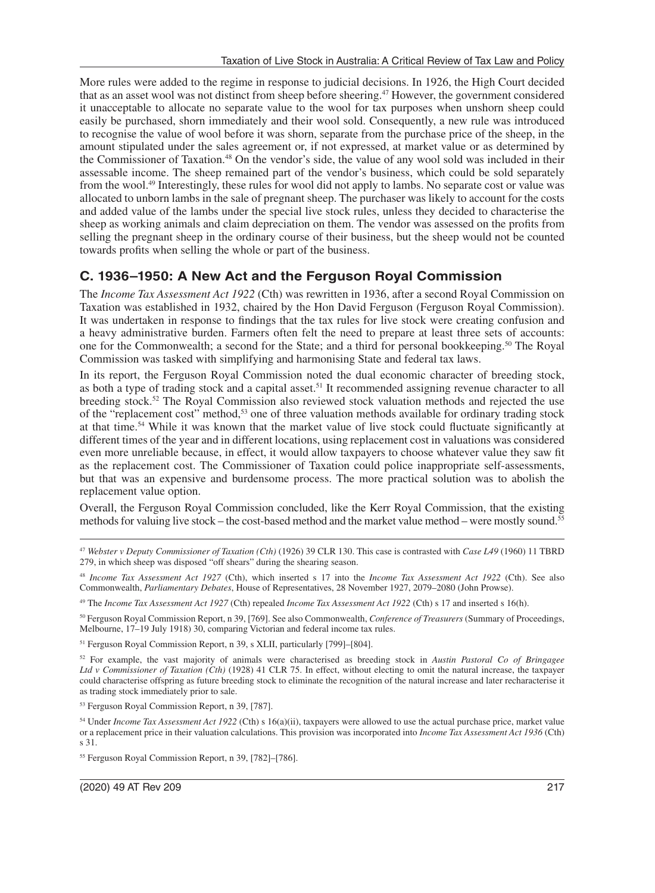More rules were added to the regime in response to judicial decisions. In 1926, the High Court decided that as an asset wool was not distinct from sheep before sheering.47 However, the government considered it unacceptable to allocate no separate value to the wool for tax purposes when unshorn sheep could easily be purchased, shorn immediately and their wool sold. Consequently, a new rule was introduced to recognise the value of wool before it was shorn, separate from the purchase price of the sheep, in the amount stipulated under the sales agreement or, if not expressed, at market value or as determined by the Commissioner of Taxation.48 On the vendor's side, the value of any wool sold was included in their assessable income. The sheep remained part of the vendor's business, which could be sold separately from the wool.49 Interestingly, these rules for wool did not apply to lambs. No separate cost or value was allocated to unborn lambs in the sale of pregnant sheep. The purchaser was likely to account for the costs and added value of the lambs under the special live stock rules, unless they decided to characterise the sheep as working animals and claim depreciation on them. The vendor was assessed on the profits from selling the pregnant sheep in the ordinary course of their business, but the sheep would not be counted towards profits when selling the whole or part of the business.

## **C. 1936–1950: A New Act and the Ferguson Royal Commission**

The *Income Tax Assessment Act 1922* (Cth) was rewritten in 1936, after a second Royal Commission on Taxation was established in 1932, chaired by the Hon David Ferguson (Ferguson Royal Commission). It was undertaken in response to findings that the tax rules for live stock were creating confusion and a heavy administrative burden. Farmers often felt the need to prepare at least three sets of accounts: one for the Commonwealth; a second for the State; and a third for personal bookkeeping.50 The Royal Commission was tasked with simplifying and harmonising State and federal tax laws.

In its report, the Ferguson Royal Commission noted the dual economic character of breeding stock, as both a type of trading stock and a capital asset.51 It recommended assigning revenue character to all breeding stock.52 The Royal Commission also reviewed stock valuation methods and rejected the use of the "replacement cost" method,53 one of three valuation methods available for ordinary trading stock at that time.54 While it was known that the market value of live stock could fluctuate significantly at different times of the year and in different locations, using replacement cost in valuations was considered even more unreliable because, in effect, it would allow taxpayers to choose whatever value they saw fit as the replacement cost. The Commissioner of Taxation could police inappropriate self-assessments, but that was an expensive and burdensome process. The more practical solution was to abolish the replacement value option.

Overall, the Ferguson Royal Commission concluded, like the Kerr Royal Commission, that the existing methods for valuing live stock – the cost-based method and the market value method – were mostly sound.55

50 Ferguson Royal Commission Report, n 39, [769]. See also Commonwealth, *Conference of Treasurers* (Summary of Proceedings, Melbourne, 17–19 July 1918) 30, comparing Victorian and federal income tax rules.

51 Ferguson Royal Commission Report, n 39, s XLII, particularly [799]–[804].

52 For example, the vast majority of animals were characterised as breeding stock in *Austin Pastoral Co of Bringagee Ltd v Commissioner of Taxation (Cth)* (1928) 41 CLR 75. In effect, without electing to omit the natural increase, the taxpayer could characterise offspring as future breeding stock to eliminate the recognition of the natural increase and later recharacterise it as trading stock immediately prior to sale.

53 Ferguson Royal Commission Report, n 39, [787].

<sup>47</sup> *Webster v Deputy Commissioner of Taxation (Cth)* (1926) 39 CLR 130. This case is contrasted with *Case L49* (1960) 11 TBRD 279, in which sheep was disposed "off shears" during the shearing season.

<sup>48</sup> *Income Tax Assessment Act 1927* (Cth), which inserted s 17 into the *Income Tax Assessment Act 1922* (Cth). See also Commonwealth, *Parliamentary Debates*, House of Representatives, 28 November 1927, 2079–2080 (John Prowse).

<sup>49</sup> The *Income Tax Assessment Act 1927* (Cth) repealed *Income Tax Assessment Act 1922* (Cth) s 17 and inserted s 16(h).

<sup>54</sup> Under *Income Tax Assessment Act 1922* (Cth) s 16(a)(ii), taxpayers were allowed to use the actual purchase price, market value or a replacement price in their valuation calculations. This provision was incorporated into *Income Tax Assessment Act 1936* (Cth) s 31.

<sup>55</sup> Ferguson Royal Commission Report, n 39, [782]–[786].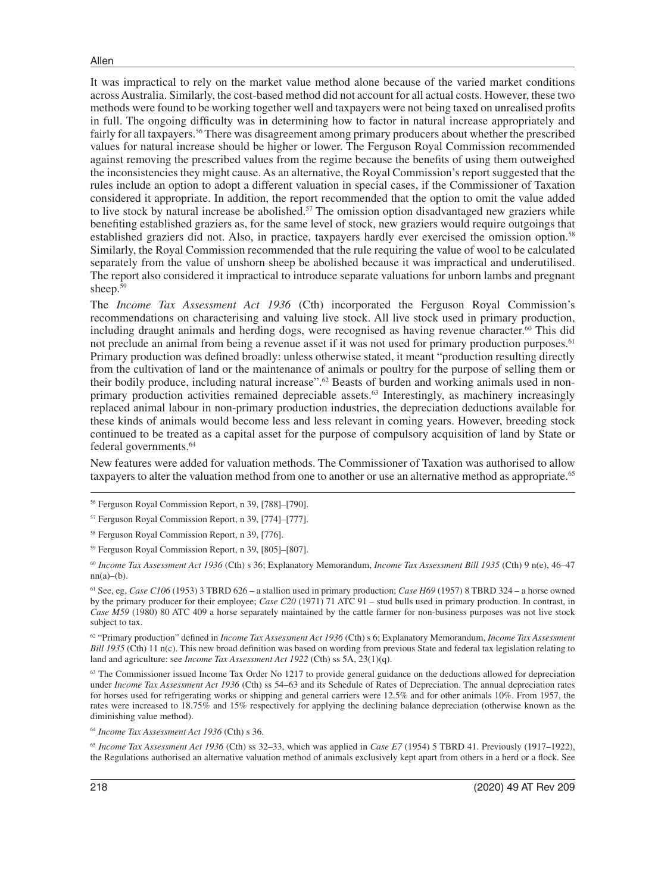It was impractical to rely on the market value method alone because of the varied market conditions across Australia. Similarly, the cost-based method did not account for all actual costs. However, these two methods were found to be working together well and taxpayers were not being taxed on unrealised profits in full. The ongoing difficulty was in determining how to factor in natural increase appropriately and fairly for all taxpayers.<sup>56</sup> There was disagreement among primary producers about whether the prescribed values for natural increase should be higher or lower. The Ferguson Royal Commission recommended against removing the prescribed values from the regime because the benefits of using them outweighed the inconsistencies they might cause. As an alternative, the Royal Commission's report suggested that the rules include an option to adopt a different valuation in special cases, if the Commissioner of Taxation considered it appropriate. In addition, the report recommended that the option to omit the value added to live stock by natural increase be abolished.<sup>57</sup> The omission option disadvantaged new graziers while benefiting established graziers as, for the same level of stock, new graziers would require outgoings that established graziers did not. Also, in practice, taxpayers hardly ever exercised the omission option.58 Similarly, the Royal Commission recommended that the rule requiring the value of wool to be calculated separately from the value of unshorn sheep be abolished because it was impractical and underutilised. The report also considered it impractical to introduce separate valuations for unborn lambs and pregnant sheep.<sup>59</sup>

The *Income Tax Assessment Act 1936* (Cth) incorporated the Ferguson Royal Commission's recommendations on characterising and valuing live stock. All live stock used in primary production, including draught animals and herding dogs, were recognised as having revenue character.<sup>60</sup> This did not preclude an animal from being a revenue asset if it was not used for primary production purposes.<sup>61</sup> Primary production was defined broadly: unless otherwise stated, it meant "production resulting directly from the cultivation of land or the maintenance of animals or poultry for the purpose of selling them or their bodily produce, including natural increase".<sup>62</sup> Beasts of burden and working animals used in nonprimary production activities remained depreciable assets.<sup>63</sup> Interestingly, as machinery increasingly replaced animal labour in non-primary production industries, the depreciation deductions available for these kinds of animals would become less and less relevant in coming years. However, breeding stock continued to be treated as a capital asset for the purpose of compulsory acquisition of land by State or federal governments.64

New features were added for valuation methods. The Commissioner of Taxation was authorised to allow taxpayers to alter the valuation method from one to another or use an alternative method as appropriate.<sup>65</sup>

<sup>60</sup> *Income Tax Assessment Act 1936* (Cth) s 36; Explanatory Memorandum, *Income Tax Assessment Bill 1935* (Cth) 9 n(e), 46–47  $nn(a)–(b)$ .

61 See, eg, *Case C106* (1953) 3 TBRD 626 – a stallion used in primary production; *Case H69* (1957) 8 TBRD 324 – a horse owned by the primary producer for their employee; *Case C20* (1971) 71 ATC 91 – stud bulls used in primary production. In contrast, in *Case M59* (1980) 80 ATC 409 a horse separately maintained by the cattle farmer for non-business purposes was not live stock subject to tax.

62 "Primary production" defined in *Income Tax Assessment Act 1936* (Cth) s 6; Explanatory Memorandum, *Income Tax Assessment Bill 1935* (Cth) 11 n(c). This new broad definition was based on wording from previous State and federal tax legislation relating to land and agriculture: see *Income Tax Assessment Act 1922* (Cth) ss 5A, 23(1)(q).

<sup>63</sup> The Commissioner issued Income Tax Order No 1217 to provide general guidance on the deductions allowed for depreciation under *Income Tax Assessment Act 1936* (Cth) ss 54–63 and its Schedule of Rates of Depreciation. The annual depreciation rates for horses used for refrigerating works or shipping and general carriers were 12.5% and for other animals 10%. From 1957, the rates were increased to 18.75% and 15% respectively for applying the declining balance depreciation (otherwise known as the diminishing value method).

<sup>64</sup> *Income Tax Assessment Act 1936* (Cth) s 36.

<sup>65</sup> *Income Tax Assessment Act 1936* (Cth) ss 32–33, which was applied in *Case E7* (1954) 5 TBRD 41. Previously (1917–1922), the Regulations authorised an alternative valuation method of animals exclusively kept apart from others in a herd or a flock. See

<sup>56</sup> Ferguson Royal Commission Report, n 39, [788]–[790].

<sup>57</sup> Ferguson Royal Commission Report, n 39, [774]–[777].

<sup>58</sup> Ferguson Royal Commission Report, n 39, [776].

<sup>59</sup> Ferguson Royal Commission Report, n 39, [805]–[807].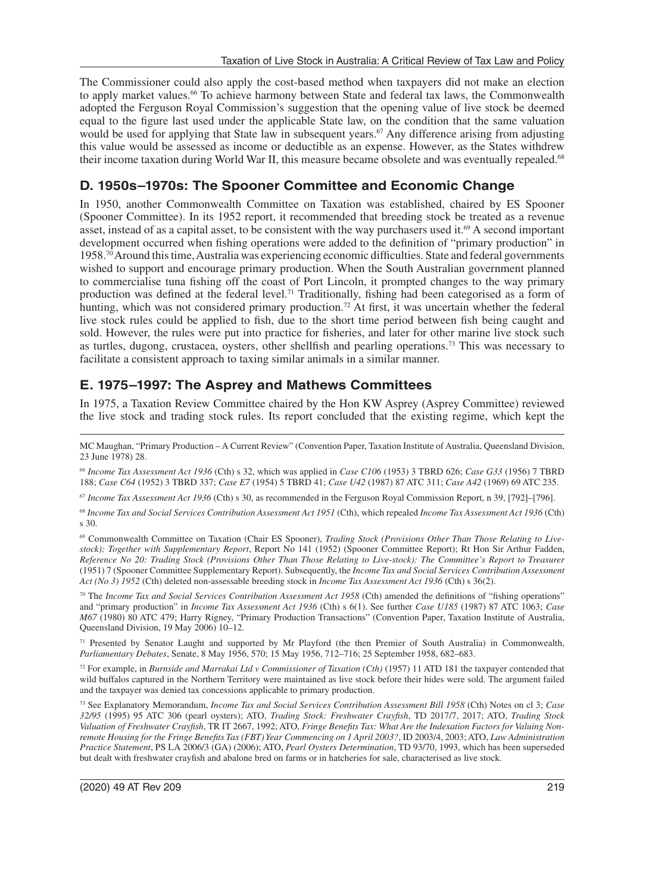The Commissioner could also apply the cost-based method when taxpayers did not make an election to apply market values.<sup>66</sup> To achieve harmony between State and federal tax laws, the Commonwealth adopted the Ferguson Royal Commission's suggestion that the opening value of live stock be deemed equal to the figure last used under the applicable State law, on the condition that the same valuation would be used for applying that State law in subsequent years.<sup>67</sup> Any difference arising from adjusting this value would be assessed as income or deductible as an expense. However, as the States withdrew their income taxation during World War II, this measure became obsolete and was eventually repealed.<sup>68</sup>

# **D. 1950s–1970s: The Spooner Committee and Economic Change**

In 1950, another Commonwealth Committee on Taxation was established, chaired by ES Spooner (Spooner Committee). In its 1952 report, it recommended that breeding stock be treated as a revenue asset, instead of as a capital asset, to be consistent with the way purchasers used it.<sup>69</sup> A second important development occurred when fishing operations were added to the definition of "primary production" in 1958.70 Around this time, Australia was experiencing economic difficulties. State and federal governments wished to support and encourage primary production. When the South Australian government planned to commercialise tuna fishing off the coast of Port Lincoln, it prompted changes to the way primary production was defined at the federal level.71 Traditionally, fishing had been categorised as a form of hunting, which was not considered primary production.<sup>72</sup> At first, it was uncertain whether the federal live stock rules could be applied to fish, due to the short time period between fish being caught and sold. However, the rules were put into practice for fisheries, and later for other marine live stock such as turtles, dugong, crustacea, oysters, other shellfish and pearling operations.73 This was necessary to facilitate a consistent approach to taxing similar animals in a similar manner.

# **E. 1975–1997: The Asprey and Mathews Committees**

In 1975, a Taxation Review Committee chaired by the Hon KW Asprey (Asprey Committee) reviewed the live stock and trading stock rules. Its report concluded that the existing regime, which kept the

<sup>66</sup> *Income Tax Assessment Act 1936* (Cth) s 32, which was applied in *Case C106* (1953) 3 TBRD 626; *Case G33* (1956) 7 TBRD 188; *Case C64* (1952) 3 TBRD 337; *Case E7* (1954) 5 TBRD 41; *Case U42* (1987) 87 ATC 311; *Case A42* (1969) 69 ATC 235.

<sup>67</sup> *Income Tax Assessment Act 1936* (Cth) s 30, as recommended in the Ferguson Royal Commission Report, n 39, [792]–[796].

<sup>68</sup> *Income Tax and Social Services Contribution Assessment Act 1951* (Cth), which repealed *Income Tax Assessment Act 1936* (Cth) s 30.

69 Commonwealth Committee on Taxation (Chair ES Spooner), *Trading Stock (Provisions Other Than Those Relating to Livestock); Together with Supplementary Report*, Report No 141 (1952) (Spooner Committee Report); Rt Hon Sir Arthur Fadden, *Reference No 20: Trading Stock (Provisions Other Than Those Relating to Live-stock): The Committee's Report to Treasurer* (1951) 7 (Spooner Committee Supplementary Report). Subsequently, the *Income Tax and Social Services Contribution Assessment Act (No 3) 1952* (Cth) deleted non-assessable breeding stock in *Income Tax Assessment Act 1936* (Cth) s 36(2).

70 The *Income Tax and Social Services Contribution Assessment Act 1958* (Cth) amended the definitions of "fishing operations" and "primary production" in *Income Tax Assessment Act 1936* (Cth) s 6(1). See further *Case U185* (1987) 87 ATC 1063; *Case M67* (1980) 80 ATC 479; Harry Rigney, "Primary Production Transactions" (Convention Paper, Taxation Institute of Australia, Queensland Division, 19 May 2006) 10–12.

 $71$  Presented by Senator Laught and supported by Mr Playford (the then Premier of South Australia) in Commonwealth, *Parliamentary Debates*, Senate, 8 May 1956, 570; 15 May 1956, 712–716; 25 September 1958, 682–683.

72 For example, in *Burnside and Marrakai Ltd v Commissioner of Taxation (Cth)* (1957) 11 ATD 181 the taxpayer contended that wild buffalos captured in the Northern Territory were maintained as live stock before their hides were sold. The argument failed and the taxpayer was denied tax concessions applicable to primary production.

73 See Explanatory Memorandum, *Income Tax and Social Services Contribution Assessment Bill 1958* (Cth) Notes on cl 3; *Case 32/95* (1995) 95 ATC 306 (pearl oysters); ATO, *Trading Stock: Freshwater Crayfish*, TD 2017/7, 2017; ATO, *Trading Stock Valuation of Freshwater Crayfish*, TR IT 2667, 1992; ATO, *Fringe Benefits Tax: What Are the Indexation Factors for Valuing Nonremote Housing for the Fringe Benefits Tax (FBT) Year Commencing on 1 April 2003?*, ID 2003/4, 2003; ATO, *Law Administration Practice Statement*, PS LA 2006/3 (GA) (2006); ATO, *Pearl Oysters Determination*, TD 93/70, 1993, which has been superseded but dealt with freshwater crayfish and abalone bred on farms or in hatcheries for sale, characterised as live stock.

MC Maughan, "Primary Production – A Current Review" (Convention Paper, Taxation Institute of Australia, Queensland Division, 23 June 1978) 28.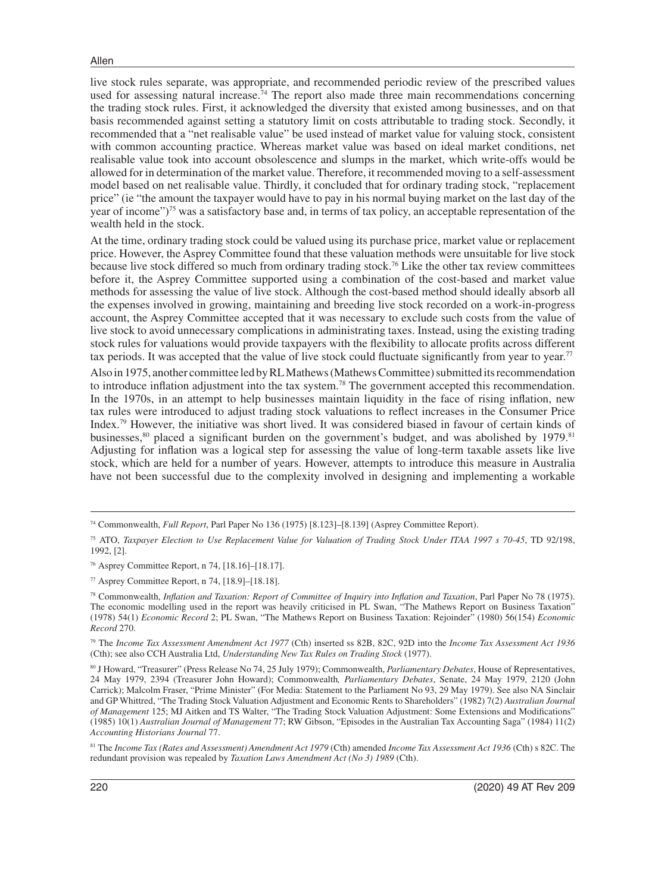live stock rules separate, was appropriate, and recommended periodic review of the prescribed values used for assessing natural increase.<sup>74</sup> The report also made three main recommendations concerning the trading stock rules. First, it acknowledged the diversity that existed among businesses, and on that basis recommended against setting a statutory limit on costs attributable to trading stock. Secondly, it recommended that a "net realisable value" be used instead of market value for valuing stock, consistent with common accounting practice. Whereas market value was based on ideal market conditions, net realisable value took into account obsolescence and slumps in the market, which write-offs would be allowed for in determination of the market value. Therefore, it recommended moving to a self-assessment model based on net realisable value. Thirdly, it concluded that for ordinary trading stock, "replacement price" (ie "the amount the taxpayer would have to pay in his normal buying market on the last day of the year of income")75 was a satisfactory base and, in terms of tax policy, an acceptable representation of the wealth held in the stock.

At the time, ordinary trading stock could be valued using its purchase price, market value or replacement price. However, the Asprey Committee found that these valuation methods were unsuitable for live stock because live stock differed so much from ordinary trading stock.76 Like the other tax review committees before it, the Asprey Committee supported using a combination of the cost-based and market value methods for assessing the value of live stock. Although the cost-based method should ideally absorb all the expenses involved in growing, maintaining and breeding live stock recorded on a work-in-progress account, the Asprey Committee accepted that it was necessary to exclude such costs from the value of live stock to avoid unnecessary complications in administrating taxes. Instead, using the existing trading stock rules for valuations would provide taxpayers with the flexibility to allocate profits across different tax periods. It was accepted that the value of live stock could fluctuate significantly from year to year.77

Also in 1975, another committee led by RL Mathews (Mathews Committee) submitted its recommendation to introduce inflation adjustment into the tax system.78 The government accepted this recommendation. In the 1970s, in an attempt to help businesses maintain liquidity in the face of rising inflation, new tax rules were introduced to adjust trading stock valuations to reflect increases in the Consumer Price Index.79 However, the initiative was short lived. It was considered biased in favour of certain kinds of businesses, ${}^{80}$  placed a significant burden on the government's budget, and was abolished by 1979.<sup>81</sup> Adjusting for inflation was a logical step for assessing the value of long-term taxable assets like live stock, which are held for a number of years. However, attempts to introduce this measure in Australia have not been successful due to the complexity involved in designing and implementing a workable

<sup>74</sup> Commonwealth, *Full Report*, Parl Paper No 136 (1975) [8.123]–[8.139] (Asprey Committee Report).

<sup>75</sup> ATO, *Taxpayer Election to Use Replacement Value for Valuation of Trading Stock Under ITAA 1997 s 70-45*, TD 92/198, 1992, [2].

<sup>76</sup> Asprey Committee Report, n 74, [18.16]–[18.17].

<sup>77</sup> Asprey Committee Report, n 74, [18.9]–[18.18].

<sup>78</sup> Commonwealth, *Inflation and Taxation: Report of Committee of Inquiry into Inflation and Taxation*, Parl Paper No 78 (1975). The economic modelling used in the report was heavily criticised in PL Swan, "The Mathews Report on Business Taxation" (1978) 54(1) *Economic Record* 2; PL Swan, "The Mathews Report on Business Taxation: Rejoinder" (1980) 56(154) *Economic Record* 270.

<sup>79</sup> The *Income Tax Assessment Amendment Act 1977* (Cth) inserted ss 82B, 82C, 92D into the *Income Tax Assessment Act 1936* (Cth); see also CCH Australia Ltd, *Understanding New Tax Rules on Trading Stock* (1977).

<sup>80</sup> J Howard, "Treasurer" (Press Release No 74, 25 July 1979); Commonwealth, *Parliamentary Debates*, House of Representatives, 24 May 1979, 2394 (Treasurer John Howard); Commonwealth*, Parliamentary Debates*, Senate, 24 May 1979, 2120 (John Carrick); Malcolm Fraser, "Prime Minister" (For Media: Statement to the Parliament No 93, 29 May 1979). See also NA Sinclair and GP Whittred, "The Trading Stock Valuation Adjustment and Economic Rents to Shareholders" (1982) 7(2) *Australian Journal of Management* 125; MJ Aitken and TS Walter, "The Trading Stock Valuation Adjustment: Some Extensions and Modifications" (1985) 10(1) *Australian Journal of Management* 77; RW Gibson, "Episodes in the Australian Tax Accounting Saga" (1984) 11(2) *Accounting Historians Journal* 77.

<sup>81</sup> The *Income Tax (Rates and Assessment) Amendment Act 1979* (Cth) amended *Income Tax Assessment Act 1936* (Cth) s 82C. The redundant provision was repealed by *Taxation Laws Amendment Act (No 3) 1989* (Cth).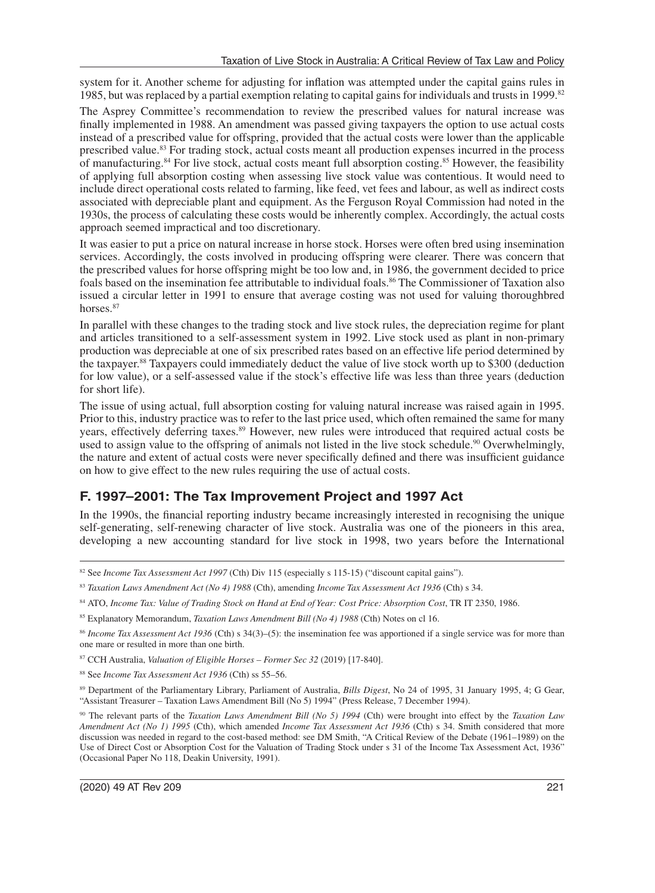system for it. Another scheme for adjusting for inflation was attempted under the capital gains rules in 1985, but was replaced by a partial exemption relating to capital gains for individuals and trusts in 1999.<sup>82</sup>

The Asprey Committee's recommendation to review the prescribed values for natural increase was finally implemented in 1988. An amendment was passed giving taxpayers the option to use actual costs instead of a prescribed value for offspring, provided that the actual costs were lower than the applicable prescribed value.83 For trading stock, actual costs meant all production expenses incurred in the process of manufacturing.84 For live stock, actual costs meant full absorption costing.85 However, the feasibility of applying full absorption costing when assessing live stock value was contentious. It would need to include direct operational costs related to farming, like feed, vet fees and labour, as well as indirect costs associated with depreciable plant and equipment. As the Ferguson Royal Commission had noted in the 1930s, the process of calculating these costs would be inherently complex. Accordingly, the actual costs approach seemed impractical and too discretionary.

It was easier to put a price on natural increase in horse stock. Horses were often bred using insemination services. Accordingly, the costs involved in producing offspring were clearer. There was concern that the prescribed values for horse offspring might be too low and, in 1986, the government decided to price foals based on the insemination fee attributable to individual foals.86 The Commissioner of Taxation also issued a circular letter in 1991 to ensure that average costing was not used for valuing thoroughbred horses.<sup>87</sup>

In parallel with these changes to the trading stock and live stock rules, the depreciation regime for plant and articles transitioned to a self-assessment system in 1992. Live stock used as plant in non-primary production was depreciable at one of six prescribed rates based on an effective life period determined by the taxpayer.88 Taxpayers could immediately deduct the value of live stock worth up to \$300 (deduction for low value), or a self-assessed value if the stock's effective life was less than three years (deduction for short life).

The issue of using actual, full absorption costing for valuing natural increase was raised again in 1995. Prior to this, industry practice was to refer to the last price used, which often remained the same for many years, effectively deferring taxes.<sup>89</sup> However, new rules were introduced that required actual costs be used to assign value to the offspring of animals not listed in the live stock schedule.<sup>90</sup> Overwhelmingly, the nature and extent of actual costs were never specifically defined and there was insufficient guidance on how to give effect to the new rules requiring the use of actual costs.

# **F. 1997–2001: The Tax Improvement Project and 1997 Act**

In the 1990s, the financial reporting industry became increasingly interested in recognising the unique self-generating, self-renewing character of live stock. Australia was one of the pioneers in this area, developing a new accounting standard for live stock in 1998, two years before the International

88 See *Income Tax Assessment Act 1936* (Cth) ss 55–56.

<sup>&</sup>lt;sup>82</sup> See *Income Tax Assessment Act 1997* (Cth) Div 115 (especially s 115-15) ("discount capital gains").

<sup>83</sup> *Taxation Laws Amendment Act (No 4) 1988* (Cth), amending *Income Tax Assessment Act 1936* (Cth) s 34.

<sup>84</sup> ATO, Income Tax: Value of Trading Stock on Hand at End of Year: Cost Price: Absorption Cost, TR IT 2350, 1986.

<sup>85</sup> Explanatory Memorandum, *Taxation Laws Amendment Bill (No 4) 1988* (Cth) Notes on cl 16.

<sup>86</sup> *Income Tax Assessment Act 1936* (Cth) s 34(3)–(5): the insemination fee was apportioned if a single service was for more than one mare or resulted in more than one birth.

<sup>87</sup> CCH Australia, *Valuation of Eligible Horses – Former Sec 32* (2019) [17-840].

<sup>89</sup> Department of the Parliamentary Library, Parliament of Australia, *Bills Digest*, No 24 of 1995, 31 January 1995, 4; G Gear, "Assistant Treasurer – Taxation Laws Amendment Bill (No 5) 1994" (Press Release, 7 December 1994).

<sup>90</sup> The relevant parts of the *Taxation Laws Amendment Bill (No 5) 1994* (Cth) were brought into effect by the *Taxation Law Amendment Act (No 1) 1995* (Cth), which amended *Income Tax Assessment Act 1936* (Cth) s 34. Smith considered that more discussion was needed in regard to the cost-based method: see DM Smith, "A Critical Review of the Debate (1961–1989) on the Use of Direct Cost or Absorption Cost for the Valuation of Trading Stock under s 31 of the Income Tax Assessment Act, 1936" (Occasional Paper No 118, Deakin University, 1991).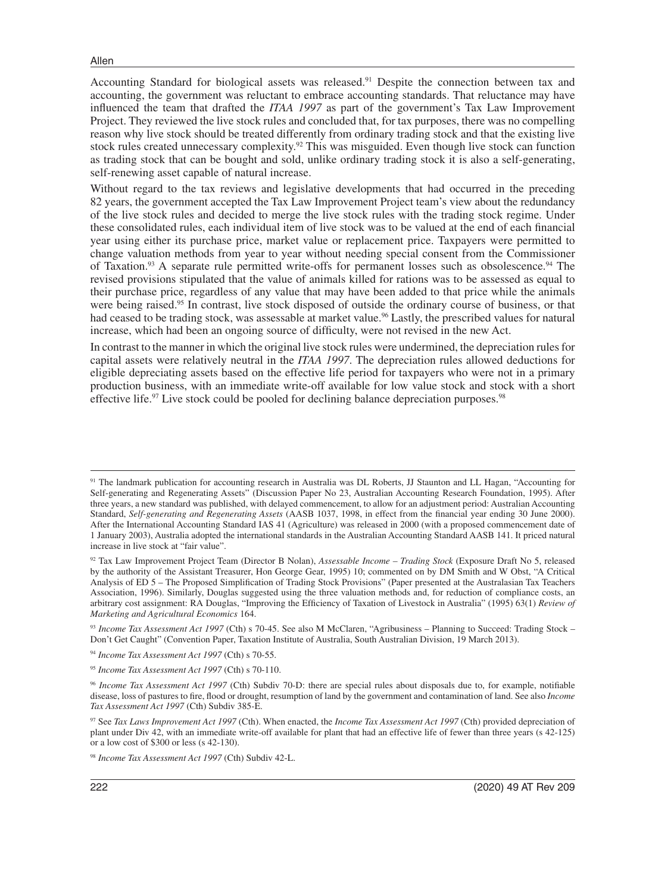Accounting Standard for biological assets was released.91 Despite the connection between tax and accounting, the government was reluctant to embrace accounting standards. That reluctance may have influenced the team that drafted the *ITAA 1997* as part of the government's Tax Law Improvement Project. They reviewed the live stock rules and concluded that, for tax purposes, there was no compelling reason why live stock should be treated differently from ordinary trading stock and that the existing live stock rules created unnecessary complexity.92 This was misguided. Even though live stock can function as trading stock that can be bought and sold, unlike ordinary trading stock it is also a self-generating, self-renewing asset capable of natural increase.

Without regard to the tax reviews and legislative developments that had occurred in the preceding 82 years, the government accepted the Tax Law Improvement Project team's view about the redundancy of the live stock rules and decided to merge the live stock rules with the trading stock regime. Under these consolidated rules, each individual item of live stock was to be valued at the end of each financial year using either its purchase price, market value or replacement price. Taxpayers were permitted to change valuation methods from year to year without needing special consent from the Commissioner of Taxation.93 A separate rule permitted write-offs for permanent losses such as obsolescence.94 The revised provisions stipulated that the value of animals killed for rations was to be assessed as equal to their purchase price, regardless of any value that may have been added to that price while the animals were being raised.<sup>95</sup> In contrast, live stock disposed of outside the ordinary course of business, or that had ceased to be trading stock, was assessable at market value.<sup>96</sup> Lastly, the prescribed values for natural increase, which had been an ongoing source of difficulty, were not revised in the new Act.

In contrast to the manner in which the original live stock rules were undermined, the depreciation rules for capital assets were relatively neutral in the *ITAA 1997*. The depreciation rules allowed deductions for eligible depreciating assets based on the effective life period for taxpayers who were not in a primary production business, with an immediate write-off available for low value stock and stock with a short effective life.<sup>97</sup> Live stock could be pooled for declining balance depreciation purposes.<sup>98</sup>

<sup>91</sup> The landmark publication for accounting research in Australia was DL Roberts, JJ Staunton and LL Hagan, "Accounting for Self-generating and Regenerating Assets" (Discussion Paper No 23, Australian Accounting Research Foundation, 1995). After three years, a new standard was published, with delayed commencement, to allow for an adjustment period: Australian Accounting Standard, *Self-generating and Regenerating Assets* (AASB 1037, 1998, in effect from the financial year ending 30 June 2000). After the International Accounting Standard IAS 41 (Agriculture) was released in 2000 (with a proposed commencement date of 1 January 2003), Australia adopted the international standards in the Australian Accounting Standard AASB 141. It priced natural increase in live stock at "fair value".

<sup>92</sup> Tax Law Improvement Project Team (Director B Nolan), *Assessable Income – Trading Stock* (Exposure Draft No 5, released by the authority of the Assistant Treasurer, Hon George Gear, 1995) 10; commented on by DM Smith and W Obst, "A Critical Analysis of ED 5 – The Proposed Simplification of Trading Stock Provisions" (Paper presented at the Australasian Tax Teachers Association, 1996). Similarly, Douglas suggested using the three valuation methods and, for reduction of compliance costs, an arbitrary cost assignment: RA Douglas, "Improving the Efficiency of Taxation of Livestock in Australia" (1995) 63(1) *Review of Marketing and Agricultural Economics* 164.

<sup>93</sup> *Income Tax Assessment Act 1997* (Cth) s 70-45. See also M McClaren, "Agribusiness – Planning to Succeed: Trading Stock – Don't Get Caught" (Convention Paper, Taxation Institute of Australia, South Australian Division, 19 March 2013).

<sup>94</sup> *Income Tax Assessment Act 1997* (Cth) s 70-55.

<sup>95</sup> *Income Tax Assessment Act 1997* (Cth) s 70-110.

<sup>96</sup> *Income Tax Assessment Act 1997* (Cth) Subdiv 70-D: there are special rules about disposals due to, for example, notifiable disease, loss of pastures to fire, flood or drought, resumption of land by the government and contamination of land. See also *Income Tax Assessment Act 1997* (Cth) Subdiv 385-E.

<sup>97</sup> See *Tax Laws Improvement Act 1997* (Cth). When enacted, the *Income Tax Assessment Act 1997* (Cth) provided depreciation of plant under Div 42, with an immediate write-off available for plant that had an effective life of fewer than three years (s 42-125) or a low cost of \$300 or less (s 42-130).

<sup>98</sup> *Income Tax Assessment Act 1997* (Cth) Subdiv 42-L.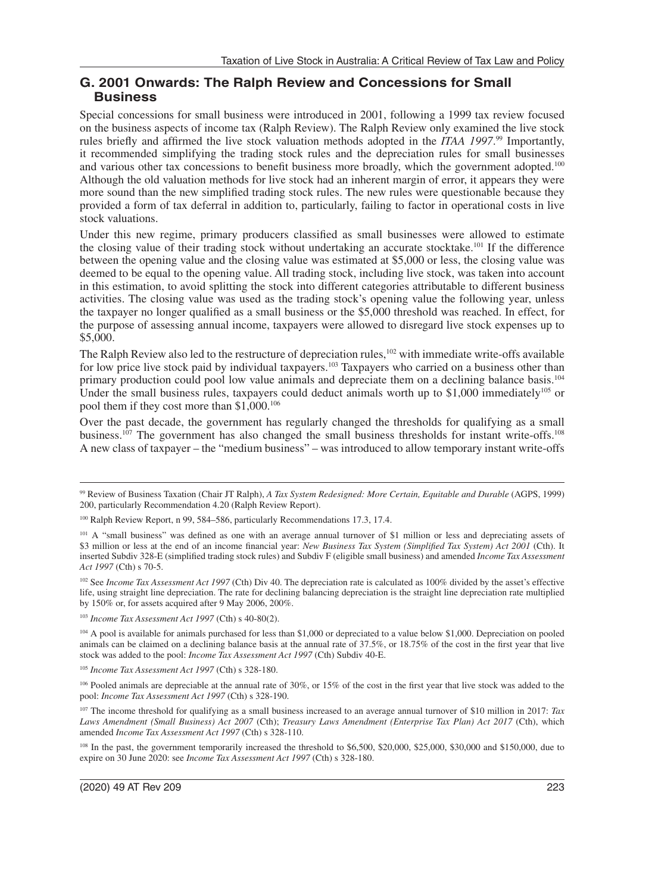### **G. 2001 Onwards: The Ralph Review and Concessions for Small Business**

Special concessions for small business were introduced in 2001, following a 1999 tax review focused on the business aspects of income tax (Ralph Review). The Ralph Review only examined the live stock rules briefly and affirmed the live stock valuation methods adopted in the *ITAA 1997*.<sup>99</sup> Importantly, it recommended simplifying the trading stock rules and the depreciation rules for small businesses and various other tax concessions to benefit business more broadly, which the government adopted.<sup>100</sup> Although the old valuation methods for live stock had an inherent margin of error, it appears they were more sound than the new simplified trading stock rules. The new rules were questionable because they provided a form of tax deferral in addition to, particularly, failing to factor in operational costs in live stock valuations.

Under this new regime, primary producers classified as small businesses were allowed to estimate the closing value of their trading stock without undertaking an accurate stocktake.101 If the difference between the opening value and the closing value was estimated at \$5,000 or less, the closing value was deemed to be equal to the opening value. All trading stock, including live stock, was taken into account in this estimation, to avoid splitting the stock into different categories attributable to different business activities. The closing value was used as the trading stock's opening value the following year, unless the taxpayer no longer qualified as a small business or the \$5,000 threshold was reached. In effect, for the purpose of assessing annual income, taxpayers were allowed to disregard live stock expenses up to \$5,000.

The Ralph Review also led to the restructure of depreciation rules,<sup>102</sup> with immediate write-offs available for low price live stock paid by individual taxpayers.<sup>103</sup> Taxpayers who carried on a business other than primary production could pool low value animals and depreciate them on a declining balance basis.104 Under the small business rules, taxpayers could deduct animals worth up to \$1,000 immediately<sup>105</sup> or pool them if they cost more than \$1,000.106

Over the past decade, the government has regularly changed the thresholds for qualifying as a small business.<sup>107</sup> The government has also changed the small business thresholds for instant write-offs.<sup>108</sup> A new class of taxpayer – the "medium business" – was introduced to allow temporary instant write-offs

<sup>103</sup> *Income Tax Assessment Act 1997* (Cth) s 40-80(2).

104 A pool is available for animals purchased for less than \$1,000 or depreciated to a value below \$1,000. Depreciation on pooled animals can be claimed on a declining balance basis at the annual rate of 37.5%, or 18.75% of the cost in the first year that live stock was added to the pool: *Income Tax Assessment Act 1997* (Cth) Subdiv 40-E.

<sup>105</sup> *Income Tax Assessment Act 1997* (Cth) s 328-180.

<sup>106</sup> Pooled animals are depreciable at the annual rate of 30%, or 15% of the cost in the first year that live stock was added to the pool: *Income Tax Assessment Act 1997* (Cth) s 328-190.

107 The income threshold for qualifying as a small business increased to an average annual turnover of \$10 million in 2017: *Tax Laws Amendment (Small Business) Act 2007* (Cth); *Treasury Laws Amendment (Enterprise Tax Plan) Act 2017* (Cth), which amended *Income Tax Assessment Act 1997* (Cth) s 328-110.

<sup>108</sup> In the past, the government temporarily increased the threshold to \$6,500, \$20,000, \$25,000, \$30,000 and \$150,000, due to expire on 30 June 2020: see *Income Tax Assessment Act 1997* (Cth) s 328-180.

<sup>99</sup> Review of Business Taxation (Chair JT Ralph), *A Tax System Redesigned: More Certain, Equitable and Durable* (AGPS, 1999) 200, particularly Recommendation 4.20 (Ralph Review Report).

<sup>&</sup>lt;sup>100</sup> Ralph Review Report, n 99, 584–586, particularly Recommendations 17.3, 17.4.

<sup>&</sup>lt;sup>101</sup> A "small business" was defined as one with an average annual turnover of \$1 million or less and depreciating assets of \$3 million or less at the end of an income financial year: *New Business Tax System (Simplified Tax System) Act 2001* (Cth). It inserted Subdiv 328-E (simplified trading stock rules) and Subdiv F (eligible small business) and amended *Income Tax Assessment Act 1997* (Cth) s 70-5.

<sup>&</sup>lt;sup>102</sup> See *Income Tax Assessment Act 1997* (Cth) Div 40. The depreciation rate is calculated as 100% divided by the asset's effective life, using straight line depreciation. The rate for declining balancing depreciation is the straight line depreciation rate multiplied by 150% or, for assets acquired after 9 May 2006, 200%.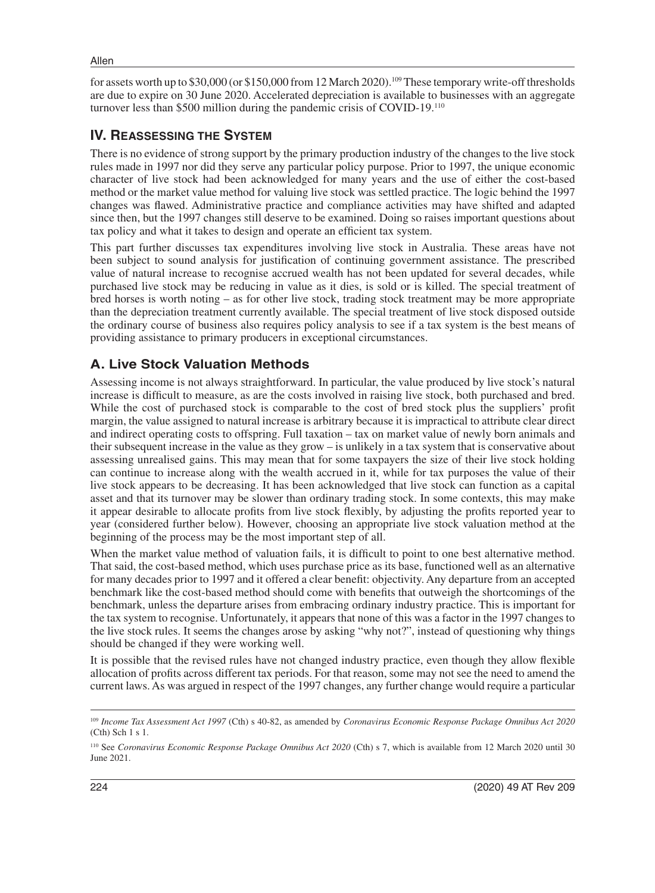for assets worth up to \$30,000 (or \$150,000 from 12 March 2020).109 These temporary write-off thresholds are due to expire on 30 June 2020. Accelerated depreciation is available to businesses with an aggregate turnover less than \$500 million during the pandemic crisis of COVID-19.110

## **IV. REASSESSING THE SYSTEM**

There is no evidence of strong support by the primary production industry of the changes to the live stock rules made in 1997 nor did they serve any particular policy purpose. Prior to 1997, the unique economic character of live stock had been acknowledged for many years and the use of either the cost-based method or the market value method for valuing live stock was settled practice. The logic behind the 1997 changes was flawed. Administrative practice and compliance activities may have shifted and adapted since then, but the 1997 changes still deserve to be examined. Doing so raises important questions about tax policy and what it takes to design and operate an efficient tax system.

This part further discusses tax expenditures involving live stock in Australia. These areas have not been subject to sound analysis for justification of continuing government assistance. The prescribed value of natural increase to recognise accrued wealth has not been updated for several decades, while purchased live stock may be reducing in value as it dies, is sold or is killed. The special treatment of bred horses is worth noting – as for other live stock, trading stock treatment may be more appropriate than the depreciation treatment currently available. The special treatment of live stock disposed outside the ordinary course of business also requires policy analysis to see if a tax system is the best means of providing assistance to primary producers in exceptional circumstances.

# **A. Live Stock Valuation Methods**

Assessing income is not always straightforward. In particular, the value produced by live stock's natural increase is difficult to measure, as are the costs involved in raising live stock, both purchased and bred. While the cost of purchased stock is comparable to the cost of bred stock plus the suppliers' profit margin, the value assigned to natural increase is arbitrary because it is impractical to attribute clear direct and indirect operating costs to offspring. Full taxation – tax on market value of newly born animals and their subsequent increase in the value as they grow – is unlikely in a tax system that is conservative about assessing unrealised gains. This may mean that for some taxpayers the size of their live stock holding can continue to increase along with the wealth accrued in it, while for tax purposes the value of their live stock appears to be decreasing. It has been acknowledged that live stock can function as a capital asset and that its turnover may be slower than ordinary trading stock. In some contexts, this may make it appear desirable to allocate profits from live stock flexibly, by adjusting the profits reported year to year (considered further below). However, choosing an appropriate live stock valuation method at the beginning of the process may be the most important step of all.

When the market value method of valuation fails, it is difficult to point to one best alternative method. That said, the cost-based method, which uses purchase price as its base, functioned well as an alternative for many decades prior to 1997 and it offered a clear benefit: objectivity. Any departure from an accepted benchmark like the cost-based method should come with benefits that outweigh the shortcomings of the benchmark, unless the departure arises from embracing ordinary industry practice. This is important for the tax system to recognise. Unfortunately, it appears that none of this was a factor in the 1997 changes to the live stock rules. It seems the changes arose by asking "why not?", instead of questioning why things should be changed if they were working well.

It is possible that the revised rules have not changed industry practice, even though they allow flexible allocation of profits across different tax periods. For that reason, some may not see the need to amend the current laws. As was argued in respect of the 1997 changes, any further change would require a particular

<sup>109</sup> *Income Tax Assessment Act 1997* (Cth) s 40-82, as amended by *Coronavirus Economic Response Package Omnibus Act 2020* (Cth) Sch 1 s 1.

<sup>&</sup>lt;sup>110</sup> See *Coronavirus Economic Response Package Omnibus Act 2020* (Cth) s 7, which is available from 12 March 2020 until 30 June 2021.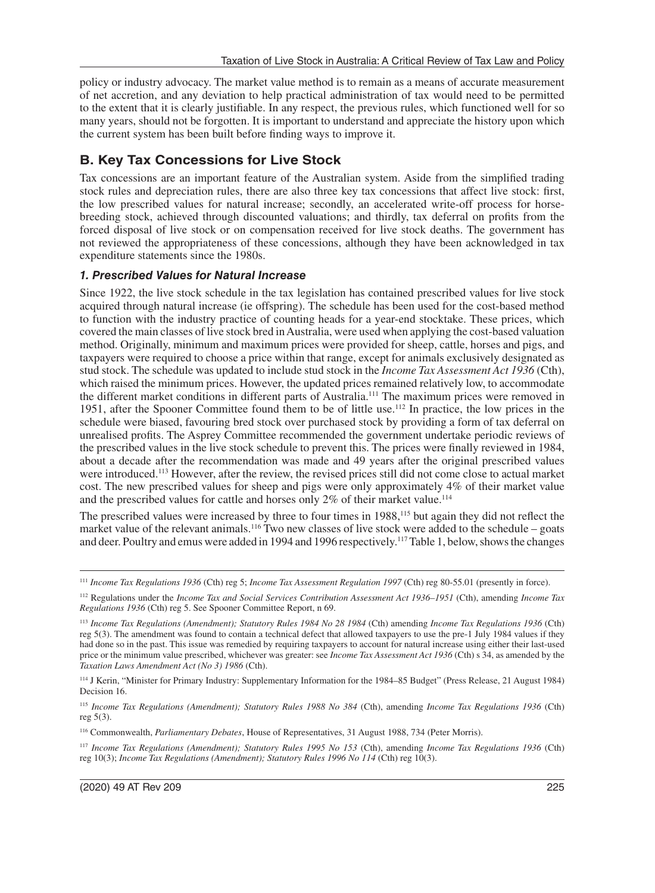policy or industry advocacy. The market value method is to remain as a means of accurate measurement of net accretion, and any deviation to help practical administration of tax would need to be permitted to the extent that it is clearly justifiable. In any respect, the previous rules, which functioned well for so many years, should not be forgotten. It is important to understand and appreciate the history upon which the current system has been built before finding ways to improve it.

## **B. Key Tax Concessions for Live Stock**

Tax concessions are an important feature of the Australian system. Aside from the simplified trading stock rules and depreciation rules, there are also three key tax concessions that affect live stock: first, the low prescribed values for natural increase; secondly, an accelerated write-off process for horsebreeding stock, achieved through discounted valuations; and thirdly, tax deferral on profits from the forced disposal of live stock or on compensation received for live stock deaths. The government has not reviewed the appropriateness of these concessions, although they have been acknowledged in tax expenditure statements since the 1980s.

#### *1. Prescribed Values for Natural Increase*

Since 1922, the live stock schedule in the tax legislation has contained prescribed values for live stock acquired through natural increase (ie offspring). The schedule has been used for the cost-based method to function with the industry practice of counting heads for a year-end stocktake. These prices, which covered the main classes of live stock bred in Australia, were used when applying the cost-based valuation method. Originally, minimum and maximum prices were provided for sheep, cattle, horses and pigs, and taxpayers were required to choose a price within that range, except for animals exclusively designated as stud stock. The schedule was updated to include stud stock in the *Income Tax Assessment Act 1936* (Cth), which raised the minimum prices. However, the updated prices remained relatively low, to accommodate the different market conditions in different parts of Australia.111 The maximum prices were removed in 1951, after the Spooner Committee found them to be of little use.112 In practice, the low prices in the schedule were biased, favouring bred stock over purchased stock by providing a form of tax deferral on unrealised profits. The Asprey Committee recommended the government undertake periodic reviews of the prescribed values in the live stock schedule to prevent this. The prices were finally reviewed in 1984, about a decade after the recommendation was made and 49 years after the original prescribed values were introduced.113 However, after the review, the revised prices still did not come close to actual market cost. The new prescribed values for sheep and pigs were only approximately 4% of their market value and the prescribed values for cattle and horses only  $2\%$  of their market value.<sup>114</sup>

The prescribed values were increased by three to four times in 1988,<sup>115</sup> but again they did not reflect the market value of the relevant animals.116 Two new classes of live stock were added to the schedule – goats and deer. Poultry and emus were added in 1994 and 1996 respectively.<sup>117</sup> Table 1, below, shows the changes

<sup>111</sup> *Income Tax Regulations 1936* (Cth) reg 5; *Income Tax Assessment Regulation 1997* (Cth) reg 80-55.01 (presently in force).

<sup>112</sup> Regulations under the *Income Tax and Social Services Contribution Assessment Act 1936–1951* (Cth), amending *Income Tax Regulations 1936* (Cth) reg 5. See Spooner Committee Report, n 69.

<sup>113</sup> *Income Tax Regulations (Amendment); Statutory Rules 1984 No 28 1984* (Cth) amending *Income Tax Regulations 1936* (Cth) reg 5(3). The amendment was found to contain a technical defect that allowed taxpayers to use the pre-1 July 1984 values if they had done so in the past. This issue was remedied by requiring taxpayers to account for natural increase using either their last-used price or the minimum value prescribed, whichever was greater: see *Income Tax Assessment Act 1936* (Cth) s 34, as amended by the *Taxation Laws Amendment Act (No 3) 1986* (Cth).

<sup>114</sup> J Kerin, "Minister for Primary Industry: Supplementary Information for the 1984–85 Budget" (Press Release, 21 August 1984) Decision 16.

<sup>115</sup> *Income Tax Regulations (Amendment); Statutory Rules 1988 No 384* (Cth), amending *Income Tax Regulations 1936* (Cth) reg 5(3).

<sup>116</sup> Commonwealth, *Parliamentary Debates*, House of Representatives, 31 August 1988, 734 (Peter Morris).

<sup>117</sup> *Income Tax Regulations (Amendment); Statutory Rules 1995 No 153* (Cth), amending *Income Tax Regulations 1936* (Cth) reg 10(3); *Income Tax Regulations (Amendment); Statutory Rules 1996 No 114* (Cth) reg 10(3).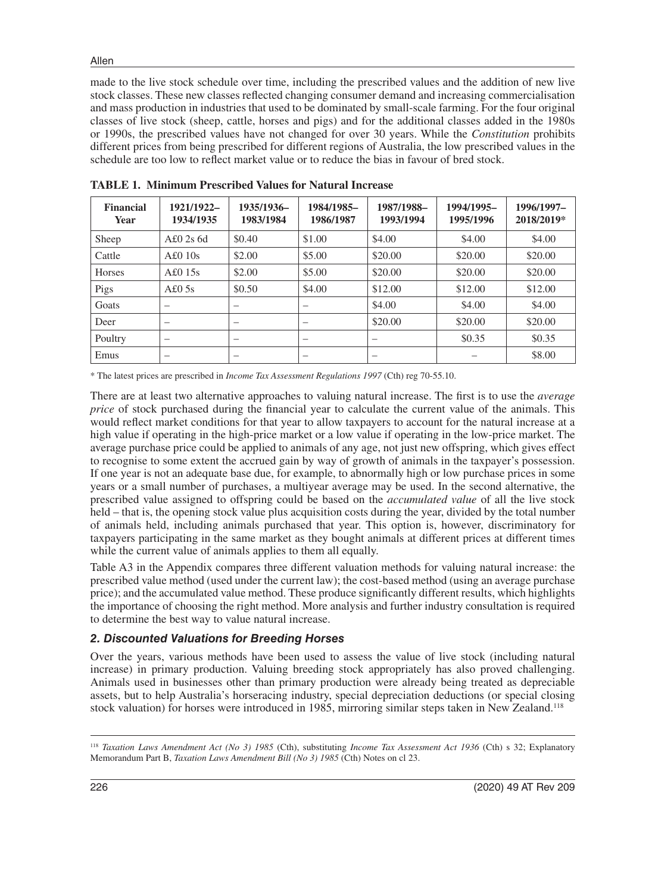made to the live stock schedule over time, including the prescribed values and the addition of new live stock classes. These new classes reflected changing consumer demand and increasing commercialisation and mass production in industries that used to be dominated by small-scale farming. For the four original classes of live stock (sheep, cattle, horses and pigs) and for the additional classes added in the 1980s or 1990s, the prescribed values have not changed for over 30 years. While the *Constitution* prohibits different prices from being prescribed for different regions of Australia, the low prescribed values in the schedule are too low to reflect market value or to reduce the bias in favour of bred stock.

| <b>Financial</b><br><b>Year</b> | 1921/1922-<br>1934/1935  | 1935/1936-<br>1983/1984 | 1984/1985-<br>1986/1987 | 1987/1988-<br>1993/1994 | 1994/1995-<br>1995/1996 | 1996/1997-<br>2018/2019* |
|---------------------------------|--------------------------|-------------------------|-------------------------|-------------------------|-------------------------|--------------------------|
| Sheep                           | A£02s6d                  | \$0.40                  | \$1.00                  | \$4.00                  | \$4.00                  | \$4.00                   |
| Cattle                          | A£010s                   | \$2.00                  | \$5.00                  | \$20.00                 | \$20.00                 | \$20.00                  |
| <b>Horses</b>                   | A£015s                   | \$2.00                  | \$5.00                  | \$20.00                 | \$20.00                 | \$20.00                  |
| Pigs                            | A£0.5s                   | \$0.50                  | \$4.00                  | \$12.00                 | \$12.00                 | \$12.00                  |
| Goats                           | $\overline{\phantom{0}}$ | -                       |                         | \$4.00                  | \$4.00                  | \$4.00                   |
| Deer                            |                          | -                       |                         | \$20.00                 | \$20.00                 | \$20.00                  |
| Poultry                         |                          |                         |                         |                         | \$0.35                  | \$0.35                   |
| Emus                            |                          |                         |                         |                         |                         | \$8.00                   |

**TABLE 1. Minimum Prescribed Values for Natural Increase**

\* The latest prices are prescribed in *Income Tax Assessment Regulations 1997* (Cth) reg 70-55.10.

There are at least two alternative approaches to valuing natural increase. The first is to use the *average price* of stock purchased during the financial year to calculate the current value of the animals. This would reflect market conditions for that year to allow taxpayers to account for the natural increase at a high value if operating in the high-price market or a low value if operating in the low-price market. The average purchase price could be applied to animals of any age, not just new offspring, which gives effect to recognise to some extent the accrued gain by way of growth of animals in the taxpayer's possession. If one year is not an adequate base due, for example, to abnormally high or low purchase prices in some years or a small number of purchases, a multiyear average may be used. In the second alternative, the prescribed value assigned to offspring could be based on the *accumulated value* of all the live stock held – that is, the opening stock value plus acquisition costs during the year, divided by the total number of animals held, including animals purchased that year. This option is, however, discriminatory for taxpayers participating in the same market as they bought animals at different prices at different times while the current value of animals applies to them all equally.

Table A3 in the Appendix compares three different valuation methods for valuing natural increase: the prescribed value method (used under the current law); the cost-based method (using an average purchase price); and the accumulated value method. These produce significantly different results, which highlights the importance of choosing the right method. More analysis and further industry consultation is required to determine the best way to value natural increase.

#### *2. Discounted Valuations for Breeding Horses*

Over the years, various methods have been used to assess the value of live stock (including natural increase) in primary production. Valuing breeding stock appropriately has also proved challenging. Animals used in businesses other than primary production were already being treated as depreciable assets, but to help Australia's horseracing industry, special depreciation deductions (or special closing stock valuation) for horses were introduced in 1985, mirroring similar steps taken in New Zealand.<sup>118</sup>

<sup>118</sup> *Taxation Laws Amendment Act (No 3) 1985* (Cth), substituting *Income Tax Assessment Act 1936* (Cth) s 32; Explanatory Memorandum Part B, *Taxation Laws Amendment Bill (No 3) 1985* (Cth) Notes on cl 23.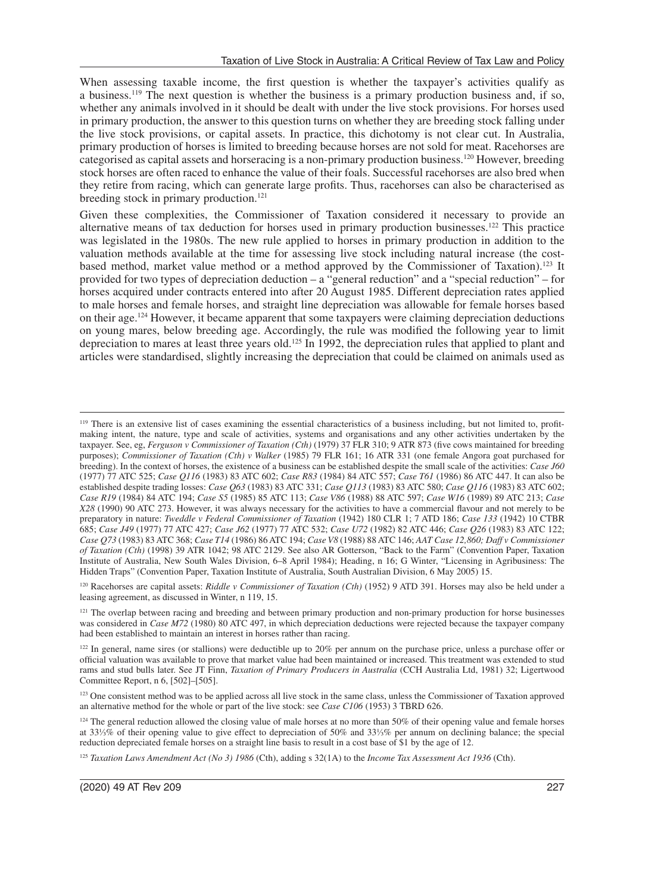When assessing taxable income, the first question is whether the taxpayer's activities qualify as a business.119 The next question is whether the business is a primary production business and, if so, whether any animals involved in it should be dealt with under the live stock provisions. For horses used in primary production, the answer to this question turns on whether they are breeding stock falling under the live stock provisions, or capital assets. In practice, this dichotomy is not clear cut. In Australia, primary production of horses is limited to breeding because horses are not sold for meat. Racehorses are categorised as capital assets and horseracing is a non-primary production business.120 However, breeding stock horses are often raced to enhance the value of their foals. Successful racehorses are also bred when they retire from racing, which can generate large profits. Thus, racehorses can also be characterised as breeding stock in primary production.<sup>121</sup>

Given these complexities, the Commissioner of Taxation considered it necessary to provide an alternative means of tax deduction for horses used in primary production businesses.122 This practice was legislated in the 1980s. The new rule applied to horses in primary production in addition to the valuation methods available at the time for assessing live stock including natural increase (the costbased method, market value method or a method approved by the Commissioner of Taxation).<sup>123</sup> It provided for two types of depreciation deduction – a "general reduction" and a "special reduction" – for horses acquired under contracts entered into after 20 August 1985. Different depreciation rates applied to male horses and female horses, and straight line depreciation was allowable for female horses based on their age.124 However, it became apparent that some taxpayers were claiming depreciation deductions on young mares, below breeding age. Accordingly, the rule was modified the following year to limit depreciation to mares at least three years old.125 In 1992, the depreciation rules that applied to plant and articles were standardised, slightly increasing the depreciation that could be claimed on animals used as

120 Racehorses are capital assets: *Riddle v Commissioner of Taxation (Cth)* (1952) 9 ATD 391. Horses may also be held under a leasing agreement, as discussed in Winter, n 119, 15.

<sup>121</sup> The overlap between racing and breeding and between primary production and non-primary production for horse businesses was considered in *Case M72* (1980) 80 ATC 497, in which depreciation deductions were rejected because the taxpayer company had been established to maintain an interest in horses rather than racing.

<sup>&</sup>lt;sup>119</sup> There is an extensive list of cases examining the essential characteristics of a business including, but not limited to, profitmaking intent, the nature, type and scale of activities, systems and organisations and any other activities undertaken by the taxpayer. See, eg, *Ferguson v Commissioner of Taxation (Cth)* (1979) 37 FLR 310; 9 ATR 873 (five cows maintained for breeding purposes); *Commissioner of Taxation (Cth) v Walker* (1985) 79 FLR 161; 16 ATR 331 (one female Angora goat purchased for breeding). In the context of horses, the existence of a business can be established despite the small scale of the activities: *Case J60* (1977) 77 ATC 525; *Case Q116* (1983) 83 ATC 602; *Case R83* (1984) 84 ATC 557; *Case T61* (1986) 86 ATC 447. It can also be established despite trading losses: *Case Q63* (1983) 83 ATC 331; *Case Q113* (1983) 83 ATC 580; *Case Q116* (1983) 83 ATC 602; *Case R19* (1984) 84 ATC 194; *Case S5* (1985) 85 ATC 113; *Case V86* (1988) 88 ATC 597; *Case W16* (1989) 89 ATC 213; *Case X28* (1990) 90 ATC 273. However, it was always necessary for the activities to have a commercial flavour and not merely to be preparatory in nature: *Tweddle v Federal Commissioner of Taxation* (1942) 180 CLR 1; 7 ATD 186; *Case 133* (1942) 10 CTBR 685; *Case J49* (1977) 77 ATC 427; *Case J62* (1977) 77 ATC 532; *Case U72* (1982) 82 ATC 446; *Case Q26* (1983) 83 ATC 122; *Case Q73* (1983) 83 ATC 368; *Case T14* (1986) 86 ATC 194; *Case V8* (1988) 88 ATC 146; *AAT Case 12,860; Daff v Commissioner of Taxation (Cth)* (1998) 39 ATR 1042; 98 ATC 2129. See also AR Gotterson, "Back to the Farm" (Convention Paper, Taxation Institute of Australia, New South Wales Division, 6–8 April 1984); Heading, n 16; G Winter, "Licensing in Agribusiness: The Hidden Traps" (Convention Paper, Taxation Institute of Australia, South Australian Division, 6 May 2005) 15.

<sup>&</sup>lt;sup>122</sup> In general, name sires (or stallions) were deductible up to 20% per annum on the purchase price, unless a purchase offer or official valuation was available to prove that market value had been maintained or increased. This treatment was extended to stud rams and stud bulls later. See JT Finn, *Taxation of Primary Producers in Australia* (CCH Australia Ltd, 1981) 32; Ligertwood Committee Report, n 6, [502]–[505].

<sup>&</sup>lt;sup>123</sup> One consistent method was to be applied across all live stock in the same class, unless the Commissioner of Taxation approved an alternative method for the whole or part of the live stock: see *Case C106* (1953) 3 TBRD 626.

<sup>&</sup>lt;sup>124</sup> The general reduction allowed the closing value of male horses at no more than 50% of their opening value and female horses at 33⅓% of their opening value to give effect to depreciation of 50% and 33⅓% per annum on declining balance; the special reduction depreciated female horses on a straight line basis to result in a cost base of \$1 by the age of 12.

<sup>125</sup> *Taxation Laws Amendment Act (No 3) 1986* (Cth), adding s 32(1A) to the *Income Tax Assessment Act 1936* (Cth).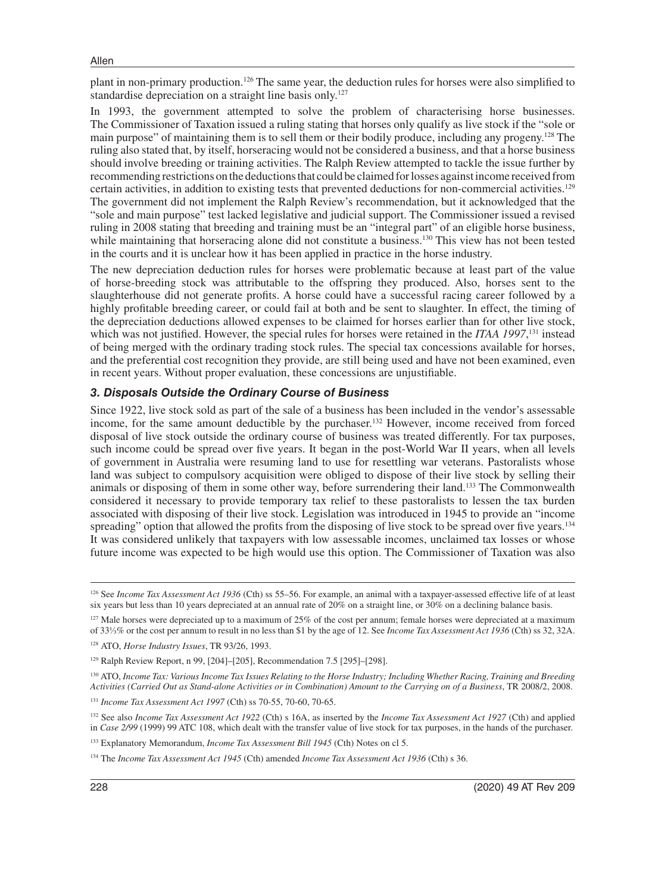plant in non-primary production.126 The same year, the deduction rules for horses were also simplified to standardise depreciation on a straight line basis only.127

In 1993, the government attempted to solve the problem of characterising horse businesses. The Commissioner of Taxation issued a ruling stating that horses only qualify as live stock if the "sole or main purpose" of maintaining them is to sell them or their bodily produce, including any progeny.<sup>128</sup> The ruling also stated that, by itself, horseracing would not be considered a business, and that a horse business should involve breeding or training activities. The Ralph Review attempted to tackle the issue further by recommending restrictions on the deductions that could be claimed for losses against income received from certain activities, in addition to existing tests that prevented deductions for non-commercial activities.129 The government did not implement the Ralph Review's recommendation, but it acknowledged that the "sole and main purpose" test lacked legislative and judicial support. The Commissioner issued a revised ruling in 2008 stating that breeding and training must be an "integral part" of an eligible horse business, while maintaining that horseracing alone did not constitute a business.<sup>130</sup> This view has not been tested in the courts and it is unclear how it has been applied in practice in the horse industry.

The new depreciation deduction rules for horses were problematic because at least part of the value of horse-breeding stock was attributable to the offspring they produced. Also, horses sent to the slaughterhouse did not generate profits. A horse could have a successful racing career followed by a highly profitable breeding career, or could fail at both and be sent to slaughter. In effect, the timing of the depreciation deductions allowed expenses to be claimed for horses earlier than for other live stock, which was not justified. However, the special rules for horses were retained in the *ITAA 1997*,<sup>131</sup> instead of being merged with the ordinary trading stock rules. The special tax concessions available for horses, and the preferential cost recognition they provide, are still being used and have not been examined, even in recent years. Without proper evaluation, these concessions are unjustifiable.

#### *3. Disposals Outside the Ordinary Course of Business*

Since 1922, live stock sold as part of the sale of a business has been included in the vendor's assessable income, for the same amount deductible by the purchaser.132 However, income received from forced disposal of live stock outside the ordinary course of business was treated differently. For tax purposes, such income could be spread over five years. It began in the post-World War II years, when all levels of government in Australia were resuming land to use for resettling war veterans. Pastoralists whose land was subject to compulsory acquisition were obliged to dispose of their live stock by selling their animals or disposing of them in some other way, before surrendering their land.133 The Commonwealth considered it necessary to provide temporary tax relief to these pastoralists to lessen the tax burden associated with disposing of their live stock. Legislation was introduced in 1945 to provide an "income spreading" option that allowed the profits from the disposing of live stock to be spread over five years.<sup>134</sup> It was considered unlikely that taxpayers with low assessable incomes, unclaimed tax losses or whose future income was expected to be high would use this option. The Commissioner of Taxation was also

<sup>130</sup> ATO, *Income Tax: Various Income Tax Issues Relating to the Horse Industry; Including Whether Racing, Training and Breeding Activities (Carried Out as Stand-alone Activities or in Combination) Amount to the Carrying on of a Business*, TR 2008/2, 2008.

<sup>131</sup> *Income Tax Assessment Act 1997* (Cth) ss 70-55, 70-60, 70-65.

132 See also *Income Tax Assessment Act 1922* (Cth) s 16A, as inserted by the *Income Tax Assessment Act 1927* (Cth) and applied in *Case 2/99* (1999) 99 ATC 108, which dealt with the transfer value of live stock for tax purposes, in the hands of the purchaser.

<sup>&</sup>lt;sup>126</sup> See *Income Tax Assessment Act 1936* (Cth) ss 55–56. For example, an animal with a taxpayer-assessed effective life of at least six years but less than 10 years depreciated at an annual rate of 20% on a straight line, or 30% on a declining balance basis.

 $127$  Male horses were depreciated up to a maximum of 25% of the cost per annum; female horses were depreciated at a maximum of 33⅓% or the cost per annum to result in no less than \$1 by the age of 12. See *Income Tax Assessment Act 1936* (Cth) ss 32, 32A.

<sup>128</sup> ATO, *Horse Industry Issues*, TR 93/26, 1993.

<sup>129</sup> Ralph Review Report, n 99, [204]–[205], Recommendation 7.5 [295]–[298].

<sup>&</sup>lt;sup>133</sup> Explanatory Memorandum, *Income Tax Assessment Bill 1945* (Cth) Notes on cl 5.

<sup>134</sup> The *Income Tax Assessment Act 1945* (Cth) amended *Income Tax Assessment Act 1936* (Cth) s 36.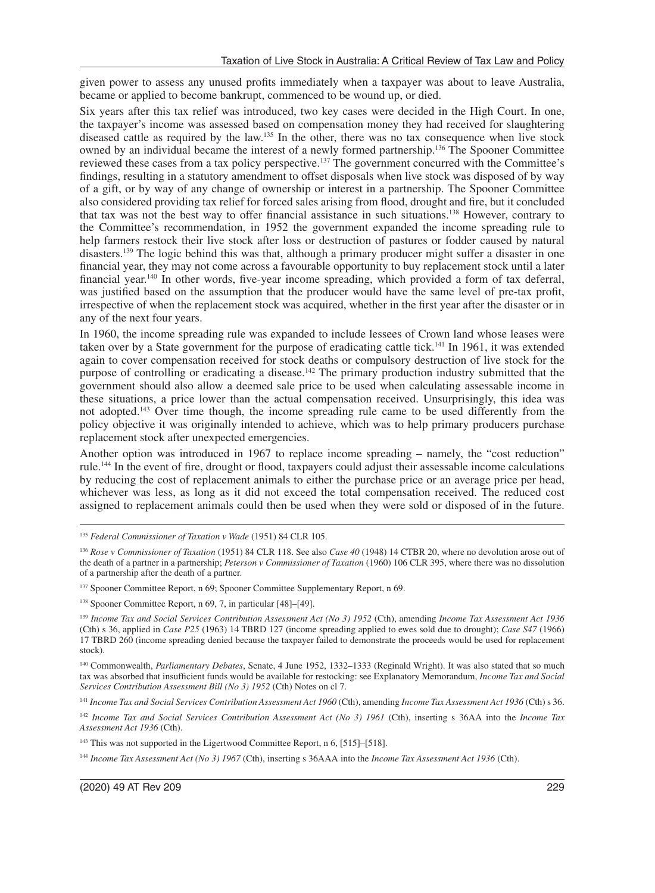given power to assess any unused profits immediately when a taxpayer was about to leave Australia, became or applied to become bankrupt, commenced to be wound up, or died.

Six years after this tax relief was introduced, two key cases were decided in the High Court. In one, the taxpayer's income was assessed based on compensation money they had received for slaughtering diseased cattle as required by the law.135 In the other, there was no tax consequence when live stock owned by an individual became the interest of a newly formed partnership.136 The Spooner Committee reviewed these cases from a tax policy perspective.137 The government concurred with the Committee's findings, resulting in a statutory amendment to offset disposals when live stock was disposed of by way of a gift, or by way of any change of ownership or interest in a partnership. The Spooner Committee also considered providing tax relief for forced sales arising from flood, drought and fire, but it concluded that tax was not the best way to offer financial assistance in such situations.138 However, contrary to the Committee's recommendation, in 1952 the government expanded the income spreading rule to help farmers restock their live stock after loss or destruction of pastures or fodder caused by natural disasters.139 The logic behind this was that, although a primary producer might suffer a disaster in one financial year, they may not come across a favourable opportunity to buy replacement stock until a later financial year.140 In other words, five-year income spreading, which provided a form of tax deferral, was justified based on the assumption that the producer would have the same level of pre-tax profit, irrespective of when the replacement stock was acquired, whether in the first year after the disaster or in any of the next four years.

In 1960, the income spreading rule was expanded to include lessees of Crown land whose leases were taken over by a State government for the purpose of eradicating cattle tick.141 In 1961, it was extended again to cover compensation received for stock deaths or compulsory destruction of live stock for the purpose of controlling or eradicating a disease.142 The primary production industry submitted that the government should also allow a deemed sale price to be used when calculating assessable income in these situations, a price lower than the actual compensation received. Unsurprisingly, this idea was not adopted.143 Over time though, the income spreading rule came to be used differently from the policy objective it was originally intended to achieve, which was to help primary producers purchase replacement stock after unexpected emergencies.

Another option was introduced in 1967 to replace income spreading – namely, the "cost reduction" rule.144 In the event of fire, drought or flood, taxpayers could adjust their assessable income calculations by reducing the cost of replacement animals to either the purchase price or an average price per head, whichever was less, as long as it did not exceed the total compensation received. The reduced cost assigned to replacement animals could then be used when they were sold or disposed of in the future.

140 Commonwealth, *Parliamentary Debates*, Senate, 4 June 1952, 1332–1333 (Reginald Wright). It was also stated that so much tax was absorbed that insufficient funds would be available for restocking: see Explanatory Memorandum, *Income Tax and Social Services Contribution Assessment Bill (No 3) 1952* (Cth) Notes on cl 7.

<sup>141</sup> *Income Tax and Social Services Contribution Assessment Act 1960* (Cth), amending *Income Tax Assessment Act 1936* (Cth) s 36.

<sup>142</sup> *Income Tax and Social Services Contribution Assessment Act (No 3) 1961* (Cth), inserting s 36AA into the *Income Tax Assessment Act 1936* (Cth).

<sup>144</sup> *Income Tax Assessment Act (No 3) 1967* (Cth), inserting s 36AAA into the *Income Tax Assessment Act 1936* (Cth).

<sup>135</sup> *Federal Commissioner of Taxation v Wade* (1951) 84 CLR 105.

<sup>136</sup> *Rose v Commissioner of Taxation* (1951) 84 CLR 118. See also *Case 40* (1948) 14 CTBR 20, where no devolution arose out of the death of a partner in a partnership; *Peterson v Commissioner of Taxation* (1960) 106 CLR 395, where there was no dissolution of a partnership after the death of a partner.

<sup>137</sup> Spooner Committee Report, n 69; Spooner Committee Supplementary Report, n 69.

<sup>138</sup> Spooner Committee Report, n 69, 7, in particular [48]–[49].

<sup>139</sup> *Income Tax and Social Services Contribution Assessment Act (No 3) 1952* (Cth), amending *Income Tax Assessment Act 1936* (Cth) s 36, applied in *Case P25* (1963) 14 TBRD 127 (income spreading applied to ewes sold due to drought); *Case S47* (1966) 17 TBRD 260 (income spreading denied because the taxpayer failed to demonstrate the proceeds would be used for replacement stock).

<sup>&</sup>lt;sup>143</sup> This was not supported in the Ligertwood Committee Report, n 6, [515]-[518].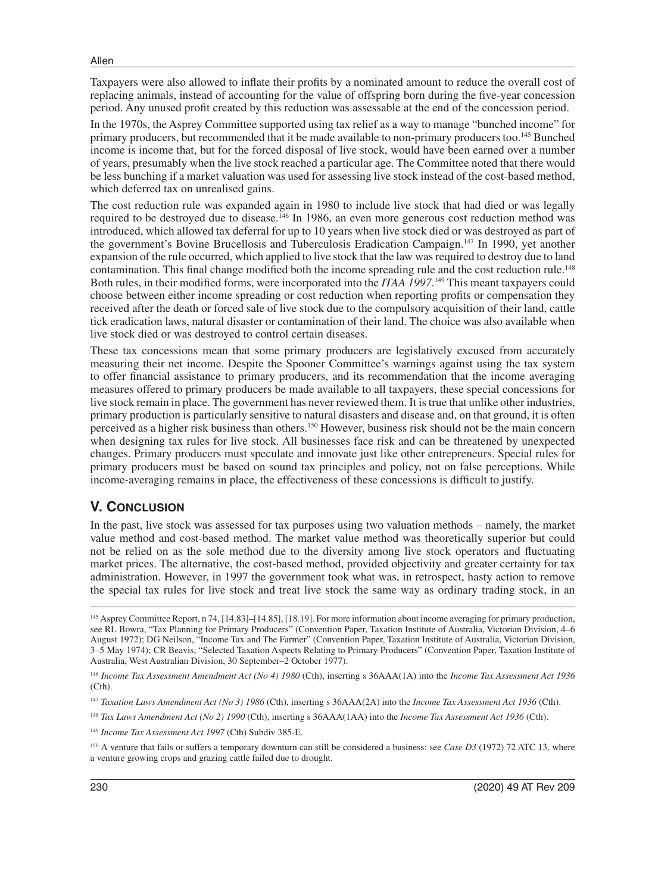Taxpayers were also allowed to inflate their profits by a nominated amount to reduce the overall cost of replacing animals, instead of accounting for the value of offspring born during the five-year concession period. Any unused profit created by this reduction was assessable at the end of the concession period.

In the 1970s, the Asprey Committee supported using tax relief as a way to manage "bunched income" for primary producers, but recommended that it be made available to non-primary producers too.<sup>145</sup> Bunched income is income that, but for the forced disposal of live stock, would have been earned over a number of years, presumably when the live stock reached a particular age. The Committee noted that there would be less bunching if a market valuation was used for assessing live stock instead of the cost-based method, which deferred tax on unrealised gains.

The cost reduction rule was expanded again in 1980 to include live stock that had died or was legally required to be destroyed due to disease.146 In 1986, an even more generous cost reduction method was introduced, which allowed tax deferral for up to 10 years when live stock died or was destroyed as part of the government's Bovine Brucellosis and Tuberculosis Eradication Campaign.<sup>147</sup> In 1990, yet another expansion of the rule occurred, which applied to live stock that the law was required to destroy due to land contamination. This final change modified both the income spreading rule and the cost reduction rule.148 Both rules, in their modified forms, were incorporated into the *ITAA 1997*.<sup>149</sup> This meant taxpayers could choose between either income spreading or cost reduction when reporting profits or compensation they received after the death or forced sale of live stock due to the compulsory acquisition of their land, cattle tick eradication laws, natural disaster or contamination of their land. The choice was also available when live stock died or was destroyed to control certain diseases.

These tax concessions mean that some primary producers are legislatively excused from accurately measuring their net income. Despite the Spooner Committee's warnings against using the tax system to offer financial assistance to primary producers, and its recommendation that the income averaging measures offered to primary producers be made available to all taxpayers, these special concessions for live stock remain in place. The government has never reviewed them. It is true that unlike other industries, primary production is particularly sensitive to natural disasters and disease and, on that ground, it is often perceived as a higher risk business than others.150 However, business risk should not be the main concern when designing tax rules for live stock. All businesses face risk and can be threatened by unexpected changes. Primary producers must speculate and innovate just like other entrepreneurs. Special rules for primary producers must be based on sound tax principles and policy, not on false perceptions. While income-averaging remains in place, the effectiveness of these concessions is difficult to justify.

### **V. CONCLUSION**

In the past, live stock was assessed for tax purposes using two valuation methods – namely, the market value method and cost-based method. The market value method was theoretically superior but could not be relied on as the sole method due to the diversity among live stock operators and fluctuating market prices. The alternative, the cost-based method, provided objectivity and greater certainty for tax administration. However, in 1997 the government took what was, in retrospect, hasty action to remove the special tax rules for live stock and treat live stock the same way as ordinary trading stock, in an

<sup>145</sup> Asprey Committee Report, n 74, [14.83]–[14.85], [18.19]. For more information about income averaging for primary production, see RL Bowra, "Tax Planning for Primary Producers" (Convention Paper, Taxation Institute of Australia, Victorian Division, 4–6 August 1972); DG Neilson, "Income Tax and The Farmer" (Convention Paper, Taxation Institute of Australia, Victorian Division, 3–5 May 1974); CR Beavis, "Selected Taxation Aspects Relating to Primary Producers" (Convention Paper, Taxation Institute of Australia, West Australian Division, 30 September–2 October 1977).

<sup>146</sup> *Income Tax Assessment Amendment Act (No 4) 1980* (Cth), inserting s 36AAA(1A) into the *Income Tax Assessment Act 1936* (Cth).

<sup>147</sup> *Taxation Laws Amendment Act (No 3) 1986* (Cth), inserting s 36AAA(2A) into the *Income Tax Assessment Act 1936* (Cth).

<sup>148</sup> *Tax Laws Amendment Act (No 2) 1990* (Cth), inserting s 36AAA(1AA) into the *Income Tax Assessment Act 1936* (Cth).

<sup>149</sup> *Income Tax Assessment Act 1997* (Cth) Subdiv 385-E.

<sup>&</sup>lt;sup>150</sup> A venture that fails or suffers a temporary downturn can still be considered a business: see *Case D3* (1972) 72 ATC 13, where a venture growing crops and grazing cattle failed due to drought.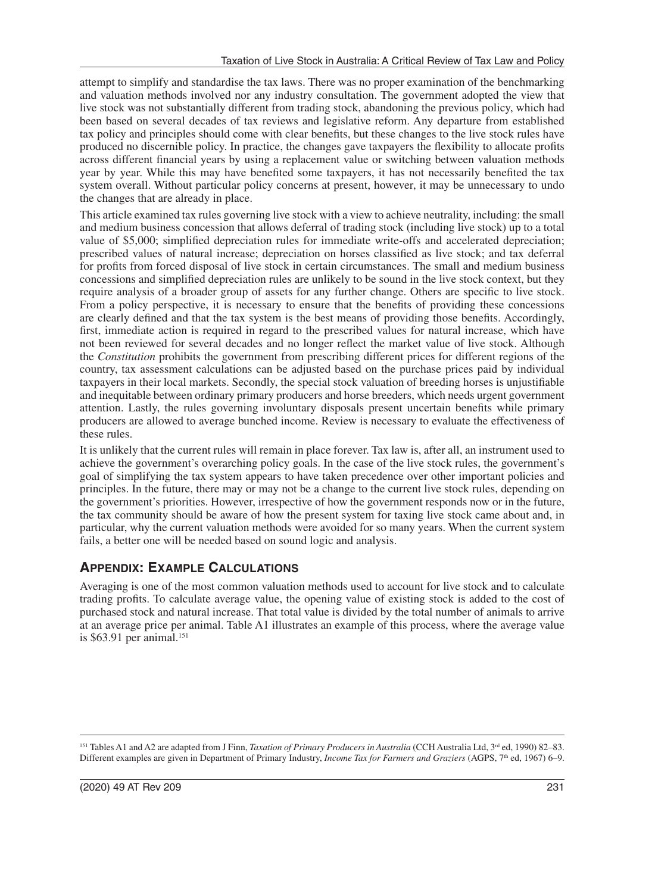attempt to simplify and standardise the tax laws. There was no proper examination of the benchmarking and valuation methods involved nor any industry consultation. The government adopted the view that live stock was not substantially different from trading stock, abandoning the previous policy, which had been based on several decades of tax reviews and legislative reform. Any departure from established tax policy and principles should come with clear benefits, but these changes to the live stock rules have produced no discernible policy. In practice, the changes gave taxpayers the flexibility to allocate profits across different financial years by using a replacement value or switching between valuation methods year by year. While this may have benefited some taxpayers, it has not necessarily benefited the tax system overall. Without particular policy concerns at present, however, it may be unnecessary to undo the changes that are already in place.

This article examined tax rules governing live stock with a view to achieve neutrality, including: the small and medium business concession that allows deferral of trading stock (including live stock) up to a total value of \$5,000; simplified depreciation rules for immediate write-offs and accelerated depreciation; prescribed values of natural increase; depreciation on horses classified as live stock; and tax deferral for profits from forced disposal of live stock in certain circumstances. The small and medium business concessions and simplified depreciation rules are unlikely to be sound in the live stock context, but they require analysis of a broader group of assets for any further change. Others are specific to live stock. From a policy perspective, it is necessary to ensure that the benefits of providing these concessions are clearly defined and that the tax system is the best means of providing those benefits. Accordingly, first, immediate action is required in regard to the prescribed values for natural increase, which have not been reviewed for several decades and no longer reflect the market value of live stock. Although the *Constitution* prohibits the government from prescribing different prices for different regions of the country, tax assessment calculations can be adjusted based on the purchase prices paid by individual taxpayers in their local markets. Secondly, the special stock valuation of breeding horses is unjustifiable and inequitable between ordinary primary producers and horse breeders, which needs urgent government attention. Lastly, the rules governing involuntary disposals present uncertain benefits while primary producers are allowed to average bunched income. Review is necessary to evaluate the effectiveness of these rules.

It is unlikely that the current rules will remain in place forever. Tax law is, after all, an instrument used to achieve the government's overarching policy goals. In the case of the live stock rules, the government's goal of simplifying the tax system appears to have taken precedence over other important policies and principles. In the future, there may or may not be a change to the current live stock rules, depending on the government's priorities. However, irrespective of how the government responds now or in the future, the tax community should be aware of how the present system for taxing live stock came about and, in particular, why the current valuation methods were avoided for so many years. When the current system fails, a better one will be needed based on sound logic and analysis.

# **APPENDIX: EXAMPLE CALCULATIONS**

Averaging is one of the most common valuation methods used to account for live stock and to calculate trading profits. To calculate average value, the opening value of existing stock is added to the cost of purchased stock and natural increase. That total value is divided by the total number of animals to arrive at an average price per animal. Table A1 illustrates an example of this process, where the average value is  $$63.91$  per animal.<sup>151</sup>

<sup>151</sup> Tables A1 and A2 are adapted from J Finn, *Taxation of Primary Producers in Australia* (CCH Australia Ltd, 3<sup>rd</sup> ed, 1990) 82–83. Different examples are given in Department of Primary Industry, *Income Tax for Farmers and Graziers* (AGPS, 7<sup>th</sup> ed, 1967) 6–9.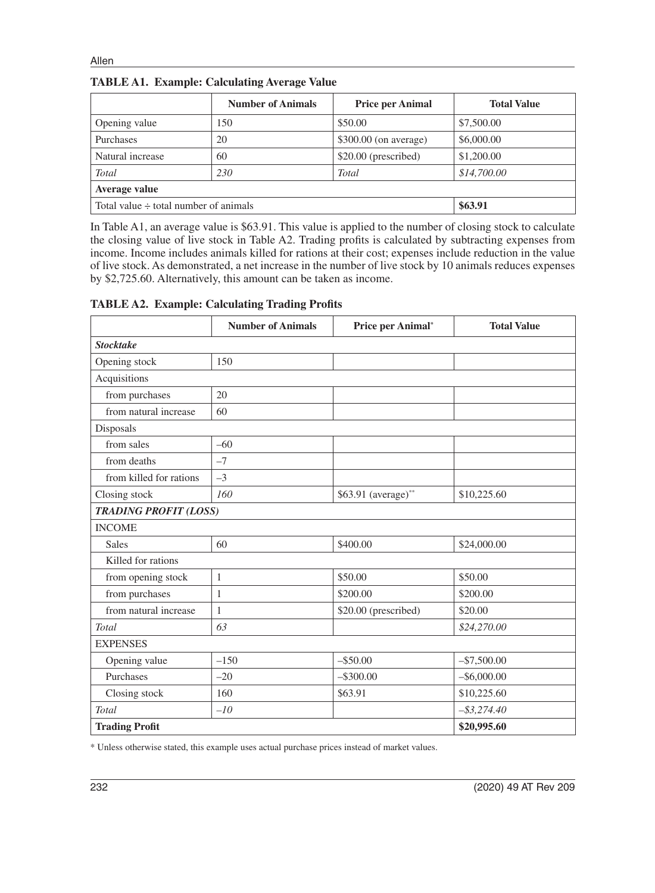|                                            | <b>Number of Animals</b> | <b>Price per Animal</b> | <b>Total Value</b> |  |  |
|--------------------------------------------|--------------------------|-------------------------|--------------------|--|--|
| Opening value                              | 150                      | \$50.00                 | \$7,500.00         |  |  |
| Purchases                                  | 20                       | $$300.00$ (on average)  | \$6,000.00         |  |  |
| Natural increase                           | 60                       | $$20.00$ (prescribed)   | \$1,200.00         |  |  |
| <b>Total</b>                               | 230                      | Total                   | \$14,700.00        |  |  |
| Average value                              |                          |                         |                    |  |  |
| Total value $\div$ total number of animals | \$63.91                  |                         |                    |  |  |

**TABLE A1. Example: Calculating Average Value**

In Table A1, an average value is \$63.91. This value is applied to the number of closing stock to calculate the closing value of live stock in Table A2. Trading profits is calculated by subtracting expenses from income. Income includes animals killed for rations at their cost; expenses include reduction in the value of live stock. As demonstrated, a net increase in the number of live stock by 10 animals reduces expenses by \$2,725.60. Alternatively, this amount can be taken as income.

| <b>TABLE A2. Example: Calculating Trading Profits</b> |  |  |
|-------------------------------------------------------|--|--|
|                                                       |  |  |

|                              | <b>Number of Animals</b> | Price per Animal*    | <b>Total Value</b> |
|------------------------------|--------------------------|----------------------|--------------------|
| <b>Stocktake</b>             |                          |                      |                    |
| Opening stock                | 150                      |                      |                    |
| Acquisitions                 |                          |                      |                    |
| from purchases               | 20                       |                      |                    |
| from natural increase        | 60                       |                      |                    |
| Disposals                    |                          |                      |                    |
| from sales                   | $-60$                    |                      |                    |
| from deaths                  | $-7$                     |                      |                    |
| from killed for rations      | $-3$                     |                      |                    |
| Closing stock                | 160                      | \$63.91 (average)**  | \$10,225.60        |
| <b>TRADING PROFIT (LOSS)</b> |                          |                      |                    |
| <b>INCOME</b>                |                          |                      |                    |
| <b>Sales</b>                 | 60                       | \$400.00             | \$24,000.00        |
| Killed for rations           |                          |                      |                    |
| from opening stock           | $\mathbf{1}$             | \$50.00              | \$50.00            |
| from purchases               | $\mathbf{1}$             | \$200.00             | \$200.00           |
| from natural increase        | $\mathbf{1}$             | \$20.00 (prescribed) | \$20.00            |
| <b>Total</b>                 | 63                       |                      | \$24,270.00        |
| <b>EXPENSES</b>              |                          |                      |                    |
| Opening value                | $-150$                   | $-$ \$50.00          | $-$ \$7,500.00     |
| Purchases                    | $-20$                    | $-$ \$300.00         | $-$ \$6,000.00     |
| Closing stock                | 160                      | \$63.91              | \$10,225.60        |
| Total                        | $-10$                    |                      | $-$ \$3,274.40     |
| <b>Trading Profit</b>        |                          |                      | \$20,995.60        |

\* Unless otherwise stated, this example uses actual purchase prices instead of market values.